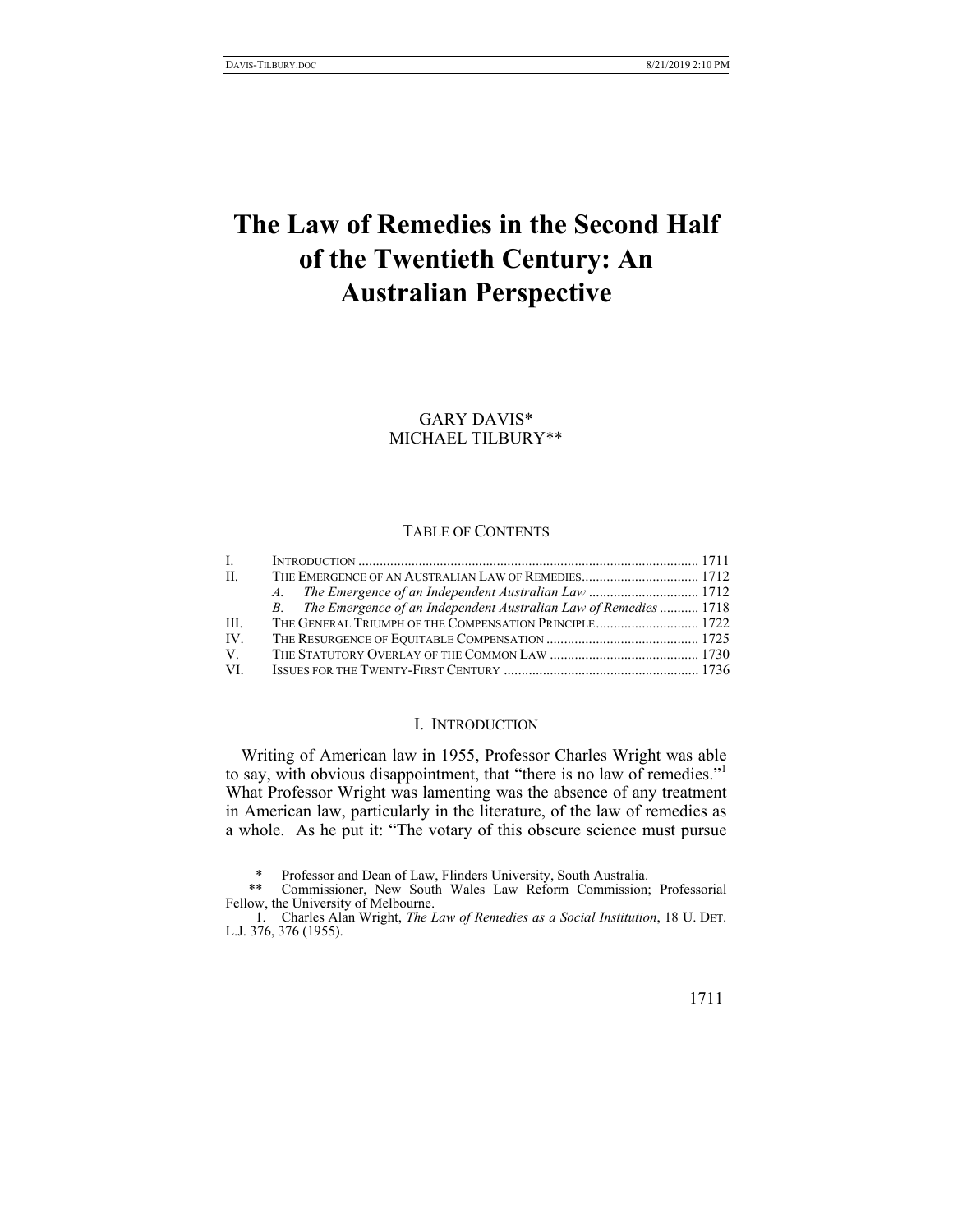# **The Law of Remedies in the Second Half of the Twentieth Century: An Australian Perspective**

GARY DAVIS\* MICHAEL TILBURY\*\*

## TABLE OF CONTENTS

| $\mathbf{L}$ |                                                                     |  |
|--------------|---------------------------------------------------------------------|--|
| H.           | THE EMERGENCE OF AN AUSTRALIAN LAW OF REMEDIES 1712                 |  |
|              |                                                                     |  |
|              | B. The Emergence of an Independent Australian Law of Remedies  1718 |  |
| HH.          | THE GENERAL TRIUMPH OF THE COMPENSATION PRINCIPLE 1722              |  |
| IV.          |                                                                     |  |
| V.           |                                                                     |  |
| VL.          |                                                                     |  |

## I. INTRODUCTION

Writing of American law in 1955, Professor Charles Wright was able to say, with obvious disappointment, that "there is no law of remedies."<sup>1</sup> What Professor Wright was lamenting was the absence of any treatment in American law, particularly in the literature, of the law of remedies as a whole. As he put it: "The votary of this obscure science must pursue

Professor and Dean of Law, Flinders University, South Australia.

 <sup>\*\*</sup> Commissioner, New South Wales Law Reform Commission; Professorial Fellow, the University of Melbourne.

 <sup>1.</sup> Charles Alan Wright, *The Law of Remedies as a Social Institution*, 18 U. DET. L.J. 376, 376 (1955).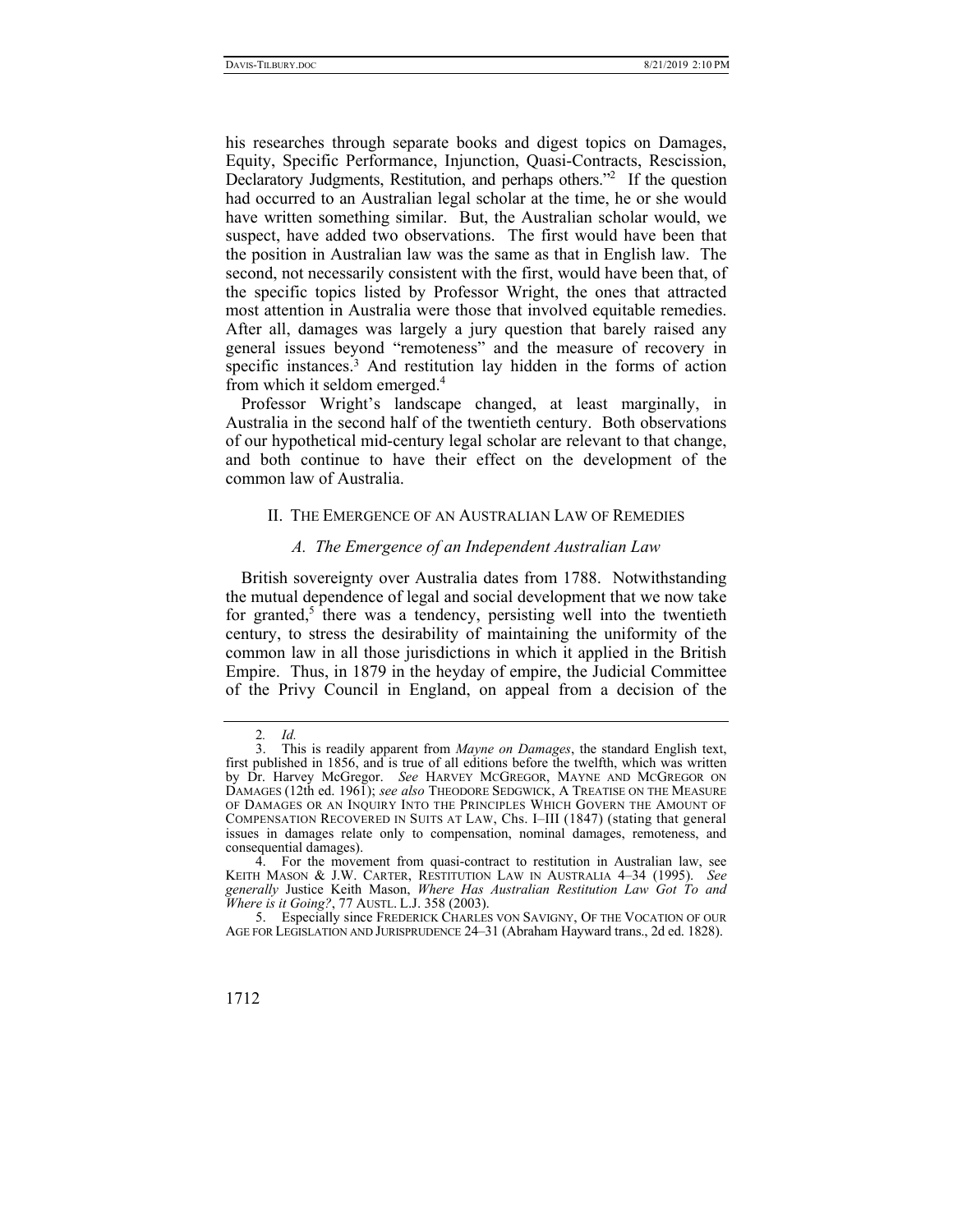his researches through separate books and digest topics on Damages, Equity, Specific Performance, Injunction, Quasi-Contracts, Rescission, Declaratory Judgments, Restitution, and perhaps others."<sup>2</sup> If the question had occurred to an Australian legal scholar at the time, he or she would have written something similar. But, the Australian scholar would, we suspect, have added two observations. The first would have been that the position in Australian law was the same as that in English law. The second, not necessarily consistent with the first, would have been that, of the specific topics listed by Professor Wright, the ones that attracted most attention in Australia were those that involved equitable remedies. After all, damages was largely a jury question that barely raised any general issues beyond "remoteness" and the measure of recovery in specific instances.<sup>3</sup> And restitution lay hidden in the forms of action from which it seldom emerged.4

Professor Wright's landscape changed, at least marginally, in Australia in the second half of the twentieth century. Both observations of our hypothetical mid-century legal scholar are relevant to that change, and both continue to have their effect on the development of the common law of Australia.

#### II. THE EMERGENCE OF AN AUSTRALIAN LAW OF REMEDIES

### *A. The Emergence of an Independent Australian Law*

British sovereignty over Australia dates from 1788. Notwithstanding the mutual dependence of legal and social development that we now take for granted,<sup>5</sup> there was a tendency, persisting well into the twentieth century, to stress the desirability of maintaining the uniformity of the common law in all those jurisdictions in which it applied in the British Empire. Thus, in 1879 in the heyday of empire, the Judicial Committee of the Privy Council in England, on appeal from a decision of the

 <sup>5.</sup> Especially since FREDERICK CHARLES VON SAVIGNY, OF THE VOCATION OF OUR AGE FOR LEGISLATION AND JURISPRUDENCE 24–31 (Abraham Hayward trans., 2d ed. 1828).



<sup>2</sup>*. Id.*

 <sup>3.</sup> This is readily apparent from *Mayne on Damages*, the standard English text, first published in 1856, and is true of all editions before the twelfth, which was written by Dr. Harvey McGregor. *See* HARVEY MCGREGOR, MAYNE AND MCGREGOR ON DAMAGES (12th ed. 1961); *see also* THEODORE SEDGWICK, A TREATISE ON THE MEASURE OF DAMAGES OR AN INQUIRY INTO THE PRINCIPLES WHICH GOVERN THE AMOUNT OF COMPENSATION RECOVERED IN SUITS AT LAW, Chs. I–III (1847) (stating that general issues in damages relate only to compensation, nominal damages, remoteness, and consequential damages).

 <sup>4.</sup> For the movement from quasi-contract to restitution in Australian law, see KEITH MASON & J.W. CARTER, RESTITUTION LAW IN AUSTRALIA 4–34 (1995). *See generally* Justice Keith Mason, *Where Has Australian Restitution Law Got To and Where is it Going?*, 77 AUSTL. L.J. 358 (2003).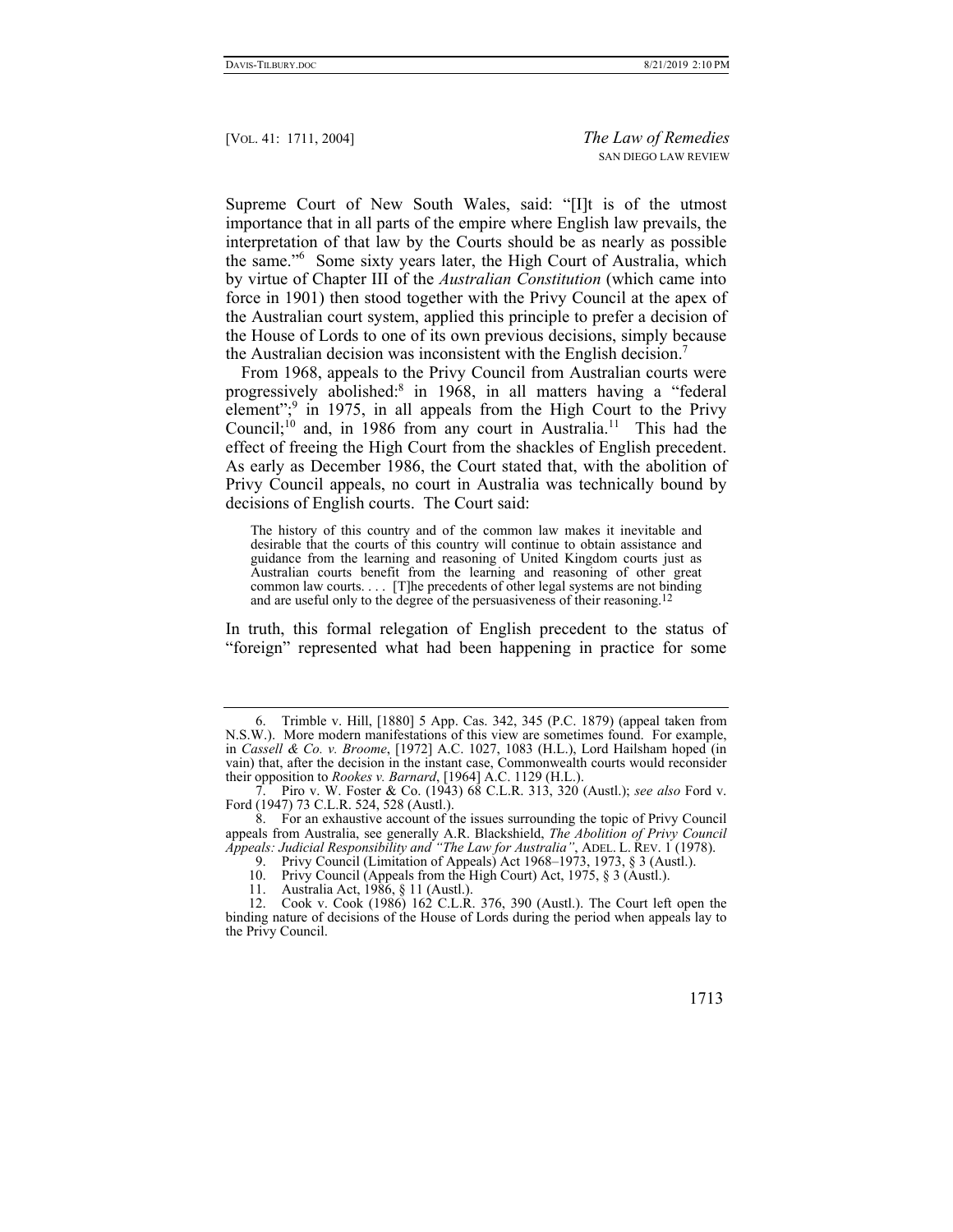Supreme Court of New South Wales, said: "[I]t is of the utmost importance that in all parts of the empire where English law prevails, the interpretation of that law by the Courts should be as nearly as possible the same."<sup>6</sup> Some sixty years later, the High Court of Australia, which by virtue of Chapter III of the *Australian Constitution* (which came into force in 1901) then stood together with the Privy Council at the apex of the Australian court system, applied this principle to prefer a decision of the House of Lords to one of its own previous decisions, simply because the Australian decision was inconsistent with the English decision.<sup>7</sup>

From 1968, appeals to the Privy Council from Australian courts were progressively abolished:8 in 1968, in all matters having a "federal element";<sup>9</sup> in 1975, in all appeals from the High Court to the Privy Council;<sup>10</sup> and, in 1986 from any court in Australia.<sup>11</sup> This had the effect of freeing the High Court from the shackles of English precedent. As early as December 1986, the Court stated that, with the abolition of Privy Council appeals, no court in Australia was technically bound by decisions of English courts. The Court said:

The history of this country and of the common law makes it inevitable and desirable that the courts of this country will continue to obtain assistance and guidance from the learning and reasoning of United Kingdom courts just as Australian courts benefit from the learning and reasoning of other great common law courts. . . . [T]he precedents of other legal systems are not binding and are useful only to the degree of the persuasiveness of their reasoning.<sup>12</sup>

In truth, this formal relegation of English precedent to the status of "foreign" represented what had been happening in practice for some

 <sup>6.</sup> Trimble v. Hill, [1880] 5 App. Cas. 342, 345 (P.C. 1879) (appeal taken from N.S.W.). More modern manifestations of this view are sometimes found. For example, in *Cassell & Co. v. Broome*, [1972] A.C. 1027, 1083 (H.L.), Lord Hailsham hoped (in vain) that, after the decision in the instant case, Commonwealth courts would reconsider their opposition to *Rookes v. Barnard*, [1964] A.C. 1129 (H.L.).

 <sup>7.</sup> Piro v. W. Foster & Co. (1943) 68 C.L.R. 313, 320 (Austl.); *see also* Ford v. Ford (1947) 73 C.L.R. 524, 528 (Austl.).

 <sup>8.</sup> For an exhaustive account of the issues surrounding the topic of Privy Council appeals from Australia, see generally A.R. Blackshield, *The Abolition of Privy Council Appeals: Judicial Responsibility and "The Law for Australia"*, ADEL. L. REV. 1 (1978).

<sup>9.</sup> Privy Council (Limitation of Appeals) Act 1968–1973, 1973,  $\S 3$  (Austl.).

 <sup>10.</sup> Privy Council (Appeals from the High Court) Act, 1975, § 3 (Austl.).

 <sup>11.</sup> Australia Act, 1986, § 11 (Austl.).

 <sup>12.</sup> Cook v. Cook (1986) 162 C.L.R. 376, 390 (Austl.). The Court left open the binding nature of decisions of the House of Lords during the period when appeals lay to the Privy Council.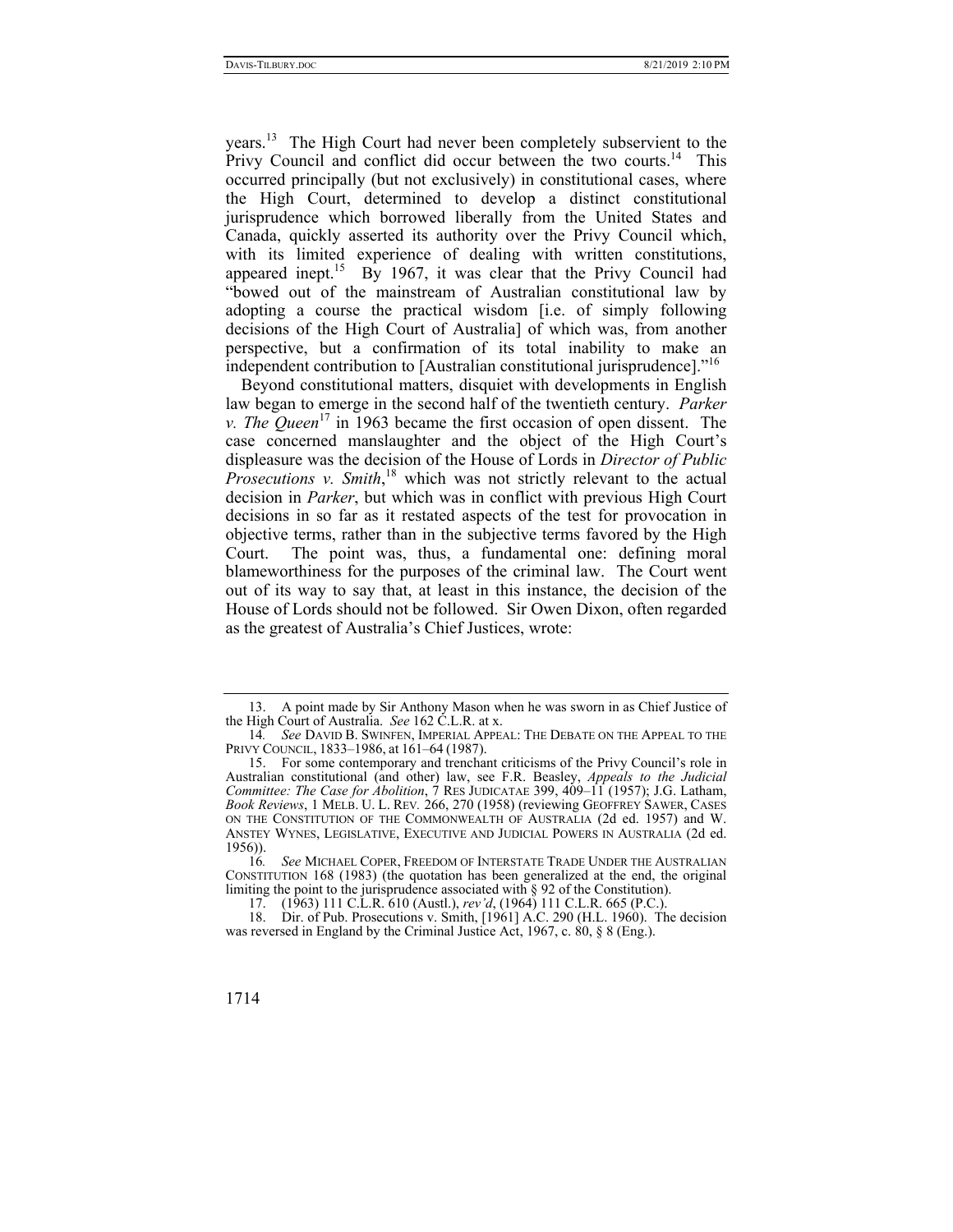years.<sup>13</sup> The High Court had never been completely subservient to the Privy Council and conflict did occur between the two courts.<sup>14</sup> This occurred principally (but not exclusively) in constitutional cases, where the High Court, determined to develop a distinct constitutional jurisprudence which borrowed liberally from the United States and Canada, quickly asserted its authority over the Privy Council which, with its limited experience of dealing with written constitutions, appeared inept.<sup>15</sup> By 1967, it was clear that the Privy Council had "bowed out of the mainstream of Australian constitutional law by adopting a course the practical wisdom [i.e. of simply following decisions of the High Court of Australia] of which was, from another perspective, but a confirmation of its total inability to make an independent contribution to [Australian constitutional jurisprudence]."16

Beyond constitutional matters, disquiet with developments in English law began to emerge in the second half of the twentieth century. *Parker v. The Queen*<sup>17</sup> in 1963 became the first occasion of open dissent. The case concerned manslaughter and the object of the High Court's displeasure was the decision of the House of Lords in *Director of Public Prosecutions v. Smith*, 18 which was not strictly relevant to the actual decision in *Parker*, but which was in conflict with previous High Court decisions in so far as it restated aspects of the test for provocation in objective terms, rather than in the subjective terms favored by the High Court. The point was, thus, a fundamental one: defining moral blameworthiness for the purposes of the criminal law. The Court went out of its way to say that, at least in this instance, the decision of the House of Lords should not be followed. Sir Owen Dixon, often regarded as the greatest of Australia's Chief Justices, wrote:

 <sup>13.</sup> A point made by Sir Anthony Mason when he was sworn in as Chief Justice of the High Court of Australia. *See* 162 C.L.R. at x.

<sup>14</sup>*. See* DAVID B. SWINFEN, IMPERIAL APPEAL: THE DEBATE ON THE APPEAL TO THE PRIVY COUNCIL, 1833–1986, at 161–64 (1987).

 <sup>15.</sup> For some contemporary and trenchant criticisms of the Privy Council's role in Australian constitutional (and other) law, see F.R. Beasley, *Appeals to the Judicial Committee: The Case for Abolition*, 7 RES JUDICATAE 399, 409–11 (1957); J.G. Latham, *Book Reviews*, 1 MELB. U. L. REV*.* 266, 270 (1958) (reviewing GEOFFREY SAWER, CASES ON THE CONSTITUTION OF THE COMMONWEALTH OF AUSTRALIA (2d ed. 1957) and W. ANSTEY WYNES, LEGISLATIVE, EXECUTIVE AND JUDICIAL POWERS IN AUSTRALIA (2d ed. 1956)).

<sup>16</sup>*. See* MICHAEL COPER, FREEDOM OF INTERSTATE TRADE UNDER THE AUSTRALIAN CONSTITUTION 168 (1983) (the quotation has been generalized at the end, the original limiting the point to the jurisprudence associated with § 92 of the Constitution).

 <sup>17. (1963) 111</sup> C.L.R. 610 (Austl.), *rev'd*, (1964) 111 C.L.R. 665 (P.C.).

 <sup>18.</sup> Dir. of Pub. Prosecutions v. Smith, [1961] A.C. 290 (H.L. 1960). The decision was reversed in England by the Criminal Justice Act, 1967, c. 80, § 8 (Eng.).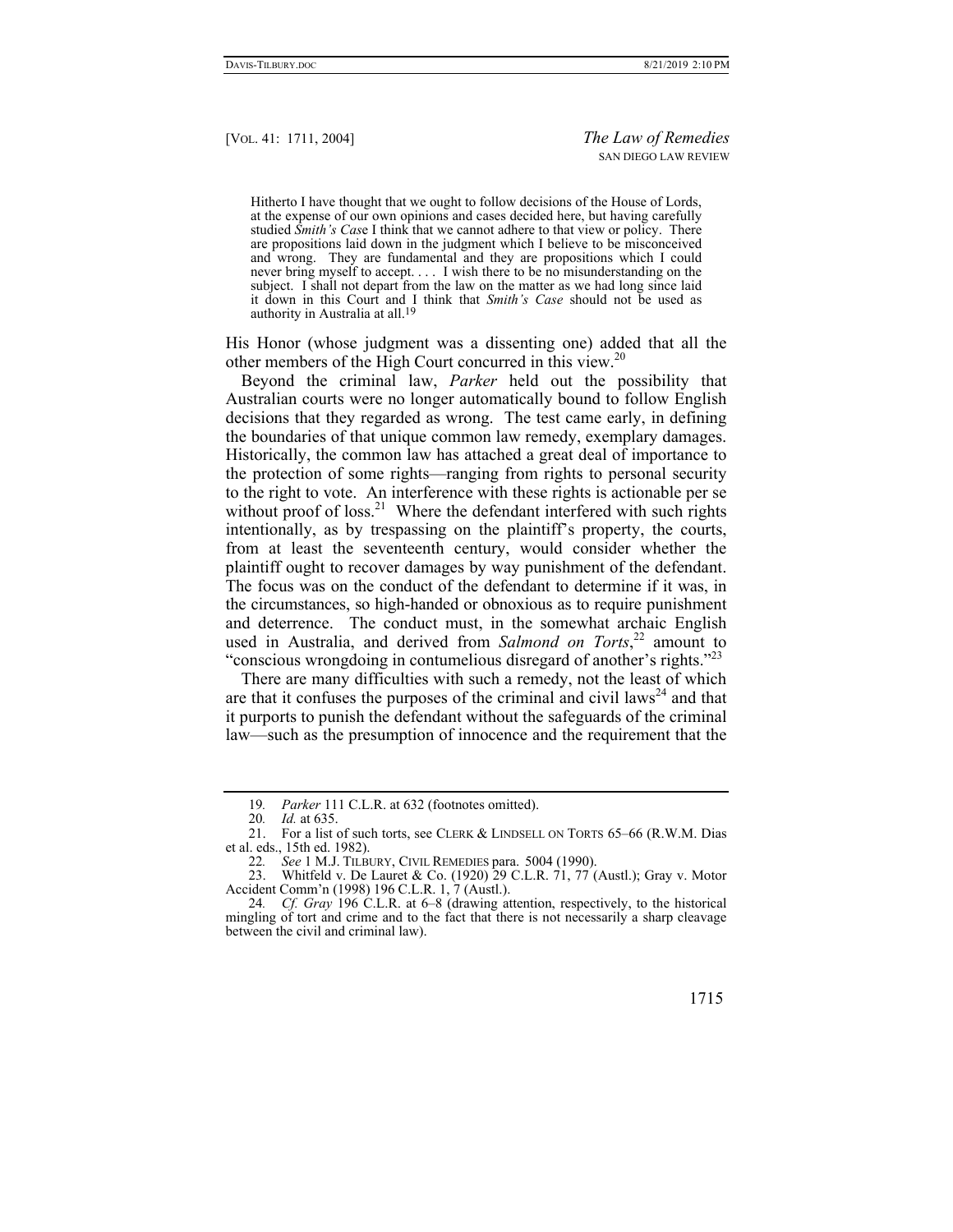Hitherto I have thought that we ought to follow decisions of the House of Lords, at the expense of our own opinions and cases decided here, but having carefully studied *Smith's Cas*e I think that we cannot adhere to that view or policy. There are propositions laid down in the judgment which I believe to be misconceived and wrong. They are fundamental and they are propositions which I could never bring myself to accept. . . . I wish there to be no misunderstanding on the subject. I shall not depart from the law on the matter as we had long since laid it down in this Court and I think that *Smith's Case* should not be used as authority in Australia at all.19

His Honor (whose judgment was a dissenting one) added that all the other members of the High Court concurred in this view.<sup>20</sup>

Beyond the criminal law, *Parker* held out the possibility that Australian courts were no longer automatically bound to follow English decisions that they regarded as wrong. The test came early, in defining the boundaries of that unique common law remedy, exemplary damages. Historically, the common law has attached a great deal of importance to the protection of some rights—ranging from rights to personal security to the right to vote. An interference with these rights is actionable per se without proof of loss.<sup>21</sup> Where the defendant interfered with such rights intentionally, as by trespassing on the plaintiff's property, the courts, from at least the seventeenth century, would consider whether the plaintiff ought to recover damages by way punishment of the defendant. The focus was on the conduct of the defendant to determine if it was, in the circumstances, so high-handed or obnoxious as to require punishment and deterrence. The conduct must, in the somewhat archaic English used in Australia, and derived from *Salmond on Torts*, 22 amount to "conscious wrongdoing in contumelious disregard of another's rights."<sup>23</sup>

There are many difficulties with such a remedy, not the least of which are that it confuses the purposes of the criminal and civil  $laws<sup>24</sup>$  and that it purports to punish the defendant without the safeguards of the criminal law—such as the presumption of innocence and the requirement that the

<sup>24</sup>*. Cf. Gray* 196 C.L.R. at 6–8 (drawing attention, respectively, to the historical mingling of tort and crime and to the fact that there is not necessarily a sharp cleavage between the civil and criminal law).



<sup>19</sup>*. Parker* 111 C.L.R. at 632 (footnotes omitted).

<sup>20</sup>*. Id.* at 635.

 <sup>21.</sup> For a list of such torts, see CLERK & LINDSELL ON TORTS 65–66 (R.W.M. Dias et al. eds., 15th ed. 1982).

<sup>22</sup>*. See* 1 M.J. TILBURY, CIVIL REMEDIES para. 5004 (1990).

 <sup>23.</sup> Whitfeld v. De Lauret & Co. (1920) 29 C.L.R. 71, 77 (Austl.); Gray v. Motor Accident Comm'n (1998) 196 C.L.R. 1, 7 (Austl.).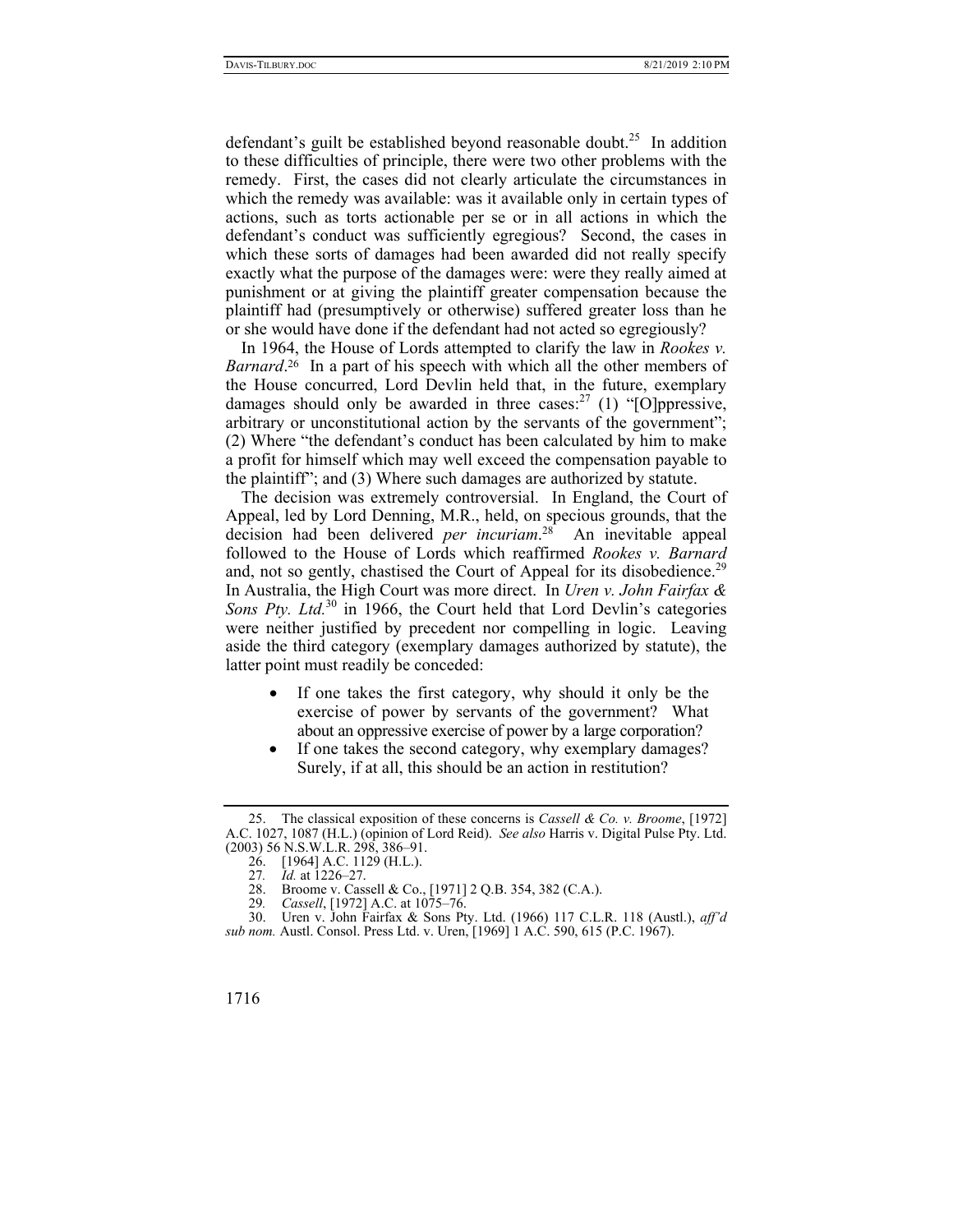defendant's guilt be established beyond reasonable doubt.<sup>25</sup> In addition to these difficulties of principle, there were two other problems with the remedy. First, the cases did not clearly articulate the circumstances in which the remedy was available: was it available only in certain types of actions, such as torts actionable per se or in all actions in which the defendant's conduct was sufficiently egregious? Second, the cases in which these sorts of damages had been awarded did not really specify exactly what the purpose of the damages were: were they really aimed at punishment or at giving the plaintiff greater compensation because the plaintiff had (presumptively or otherwise) suffered greater loss than he or she would have done if the defendant had not acted so egregiously?

In 1964, the House of Lords attempted to clarify the law in *Rookes v.*  Barnard.<sup>26</sup> In a part of his speech with which all the other members of the House concurred, Lord Devlin held that, in the future, exemplary damages should only be awarded in three cases: $^{27}$  (1) "[O]ppressive, arbitrary or unconstitutional action by the servants of the government"; (2) Where "the defendant's conduct has been calculated by him to make a profit for himself which may well exceed the compensation payable to the plaintiff"; and (3) Where such damages are authorized by statute.

The decision was extremely controversial. In England, the Court of Appeal, led by Lord Denning, M.R., held, on specious grounds, that the decision had been delivered *per incuriam*. 28 An inevitable appeal followed to the House of Lords which reaffirmed *Rookes v. Barnard* and, not so gently, chastised the Court of Appeal for its disobedience.<sup>29</sup> In Australia, the High Court was more direct. In *Uren v. John Fairfax & Sons Pty. Ltd.*30 in 1966, the Court held that Lord Devlin's categories were neither justified by precedent nor compelling in logic. Leaving aside the third category (exemplary damages authorized by statute), the latter point must readily be conceded:

- If one takes the first category, why should it only be the exercise of power by servants of the government? What about an oppressive exercise of power by a large corporation?
- If one takes the second category, why exemplary damages? Surely, if at all, this should be an action in restitution?

 <sup>25.</sup> The classical exposition of these concerns is *Cassell & Co. v. Broome*, [1972] A.C. 1027, 1087 (H.L.) (opinion of Lord Reid). *See also* Harris v. Digital Pulse Pty. Ltd. (2003) 56 N.S.W.L.R. 298, 386–91.

 <sup>26. [1964]</sup> A.C. 1129 (H.L.).

<sup>27</sup>*. Id.* at 1226–27.

<sup>28.</sup> Broome v. Cassell & Co., [1971] 2 Q.B. 354, 382 (C.A.).<br>29. *Cassell*, [1972] A.C. at 1075-76.

<sup>29</sup>*. Cassell*, [1972] A.C. at 1075–76.

 <sup>30.</sup> Uren v. John Fairfax & Sons Pty. Ltd. (1966) 117 C.L.R. 118 (Austl.), *aff'd sub nom.* Austl. Consol. Press Ltd. v. Uren, [1969] 1 A.C. 590, 615 (P.C. 1967).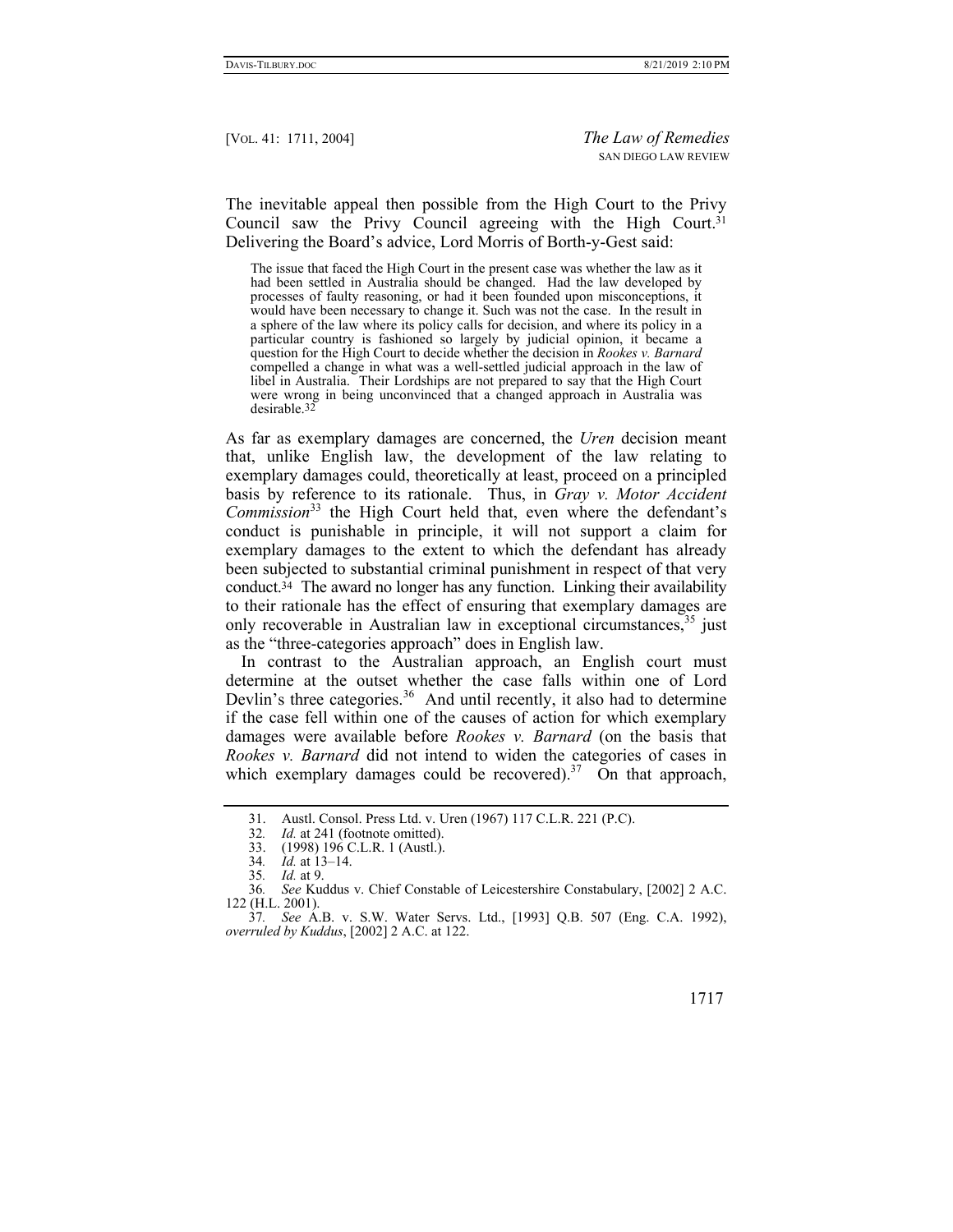The inevitable appeal then possible from the High Court to the Privy Council saw the Privy Council agreeing with the High Court.<sup>31</sup> Delivering the Board's advice, Lord Morris of Borth-y-Gest said:

The issue that faced the High Court in the present case was whether the law as it had been settled in Australia should be changed. Had the law developed by processes of faulty reasoning, or had it been founded upon misconceptions, it would have been necessary to change it. Such was not the case. In the result in a sphere of the law where its policy calls for decision, and where its policy in a particular country is fashioned so largely by judicial opinion, it became a question for the High Court to decide whether the decision in *Rookes v. Barnard*  compelled a change in what was a well-settled judicial approach in the law of libel in Australia. Their Lordships are not prepared to say that the High Court were wrong in being unconvinced that a changed approach in Australia was desirable.32

As far as exemplary damages are concerned, the *Uren* decision meant that, unlike English law, the development of the law relating to exemplary damages could, theoretically at least, proceed on a principled basis by reference to its rationale. Thus, in *Gray v. Motor Accident Commission*33 the High Court held that, even where the defendant's conduct is punishable in principle, it will not support a claim for exemplary damages to the extent to which the defendant has already been subjected to substantial criminal punishment in respect of that very conduct.34 The award no longer has any function. Linking their availability to their rationale has the effect of ensuring that exemplary damages are only recoverable in Australian law in exceptional circumstances, 35 just as the "three-categories approach" does in English law.

In contrast to the Australian approach, an English court must determine at the outset whether the case falls within one of Lord Devlin's three categories.<sup>36</sup> And until recently, it also had to determine if the case fell within one of the causes of action for which exemplary damages were available before *Rookes v. Barnard* (on the basis that *Rookes v. Barnard* did not intend to widen the categories of cases in which exemplary damages could be recovered).<sup>37</sup> On that approach,

<sup>37</sup>*. See* A.B. v. S.W. Water Servs. Ltd., [1993] Q.B. 507 (Eng. C.A. 1992), *overruled by Kuddus*, [2002] 2 A.C. at 122.



<sup>31.</sup> Austl. Consol. Press Ltd. v. Uren (1967) 117 C.L.R. 221 (P.C).<br>32. Id. at 241 (footnote omitted).

<sup>32.</sup> *Id.* at 241 (footnote omitted).<br>33. (1998) 196 C.L.R. 1 (Austl.).

 <sup>33. (1998) 196</sup> C.L.R. 1 (Austl.).

<sup>34</sup>*. Id.* at 13–14.

<sup>35</sup>*. Id.* at 9.

<sup>36</sup>*. See* Kuddus v. Chief Constable of Leicestershire Constabulary, [2002] 2 A.C. 122 (H.L. 2001).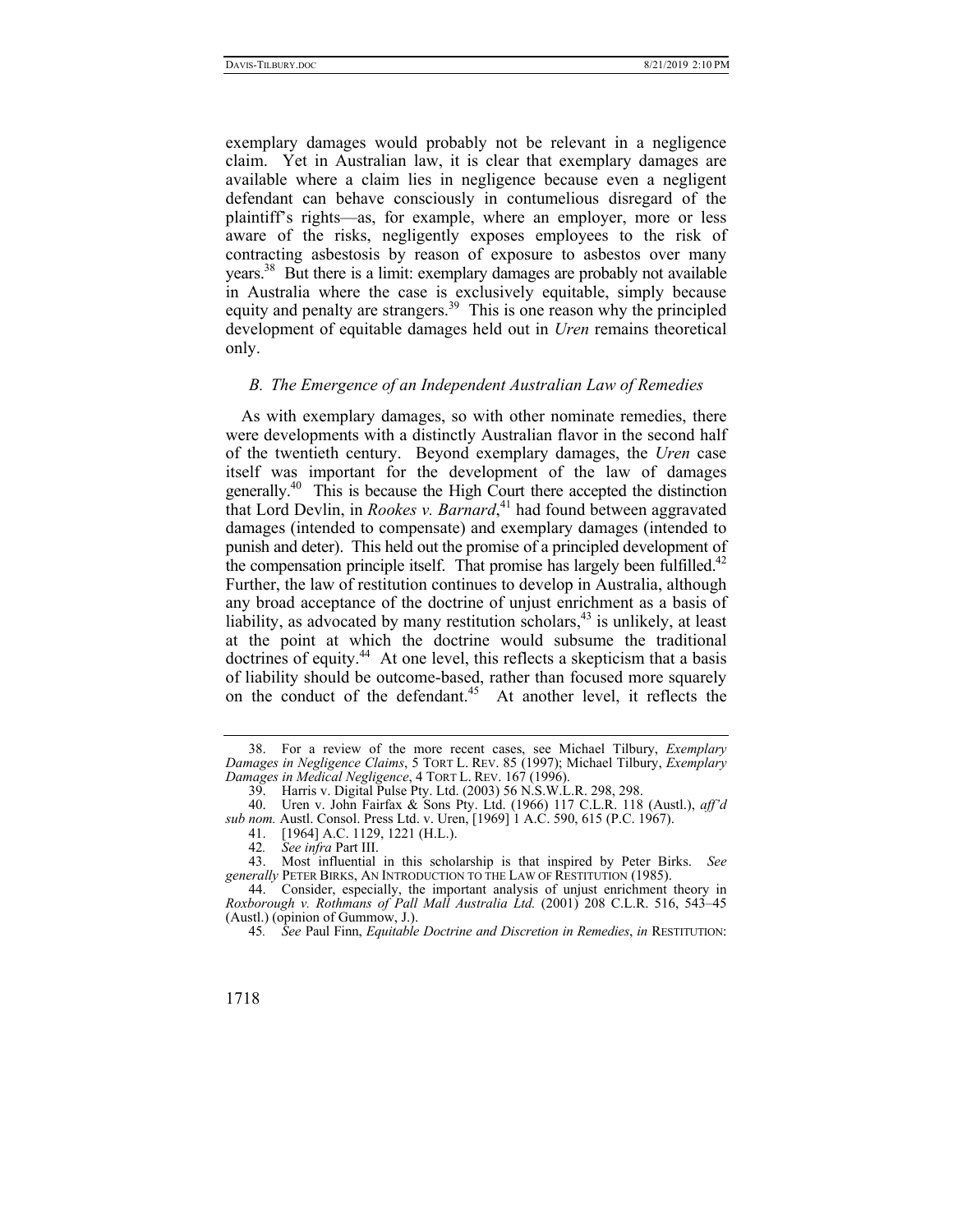exemplary damages would probably not be relevant in a negligence claim. Yet in Australian law, it is clear that exemplary damages are available where a claim lies in negligence because even a negligent defendant can behave consciously in contumelious disregard of the plaintiff's rights—as, for example, where an employer, more or less aware of the risks, negligently exposes employees to the risk of contracting asbestosis by reason of exposure to asbestos over many years.38 But there is a limit: exemplary damages are probably not available in Australia where the case is exclusively equitable, simply because equity and penalty are strangers.<sup>39</sup> This is one reason why the principled development of equitable damages held out in *Uren* remains theoretical only.

## *B. The Emergence of an Independent Australian Law of Remedies*

As with exemplary damages, so with other nominate remedies, there were developments with a distinctly Australian flavor in the second half of the twentieth century. Beyond exemplary damages, the *Uren* case itself was important for the development of the law of damages generally.40 This is because the High Court there accepted the distinction that Lord Devlin, in *Rookes v. Barnard*, 41 had found between aggravated damages (intended to compensate) and exemplary damages (intended to punish and deter). This held out the promise of a principled development of the compensation principle itself. That promise has largely been fulfilled.<sup>42</sup> Further, the law of restitution continues to develop in Australia, although any broad acceptance of the doctrine of unjust enrichment as a basis of liability, as advocated by many restitution scholars, $43$  is unlikely, at least at the point at which the doctrine would subsume the traditional doctrines of equity.<sup>44</sup> At one level, this reflects a skepticism that a basis of liability should be outcome-based, rather than focused more squarely on the conduct of the defendant.<sup>45</sup> At another level, it reflects the

 <sup>38.</sup> For a review of the more recent cases, see Michael Tilbury, *Exemplary Damages in Negligence Claims*, 5 TORT L. REV. 85 (1997); Michael Tilbury, *Exemplary Damages in Medical Negligence*, 4 TORT L. REV. 167 (1996).

 <sup>39.</sup> Harris v. Digital Pulse Pty. Ltd. (2003) 56 N.S.W.L.R. 298, 298.

 <sup>40.</sup> Uren v. John Fairfax & Sons Pty. Ltd. (1966) 117 C.L.R. 118 (Austl.), *aff'd sub nom.* Austl. Consol. Press Ltd. v. Uren, [1969] 1 A.C. 590, 615 (P.C. 1967).

<sup>41. [1964]</sup> A.C. 1129, 1221 (H.L.).<br>42. See infra Part III.

<sup>42</sup>*. See infra* Part III.

 <sup>43.</sup> Most influential in this scholarship is that inspired by Peter Birks. *See generally* PETER BIRKS, AN INTRODUCTION TO THE LAW OF RESTITUTION (1985).

 <sup>44.</sup> Consider, especially, the important analysis of unjust enrichment theory in *Roxborough v. Rothmans of Pall Mall Australia Ltd.* (2001) 208 C.L.R. 516, 543–45 (Austl.) (opinion of Gummow, J.).

<sup>45</sup>*. See* Paul Finn, *Equitable Doctrine and Discretion in Remedies*, *in* RESTITUTION:

<sup>1718</sup>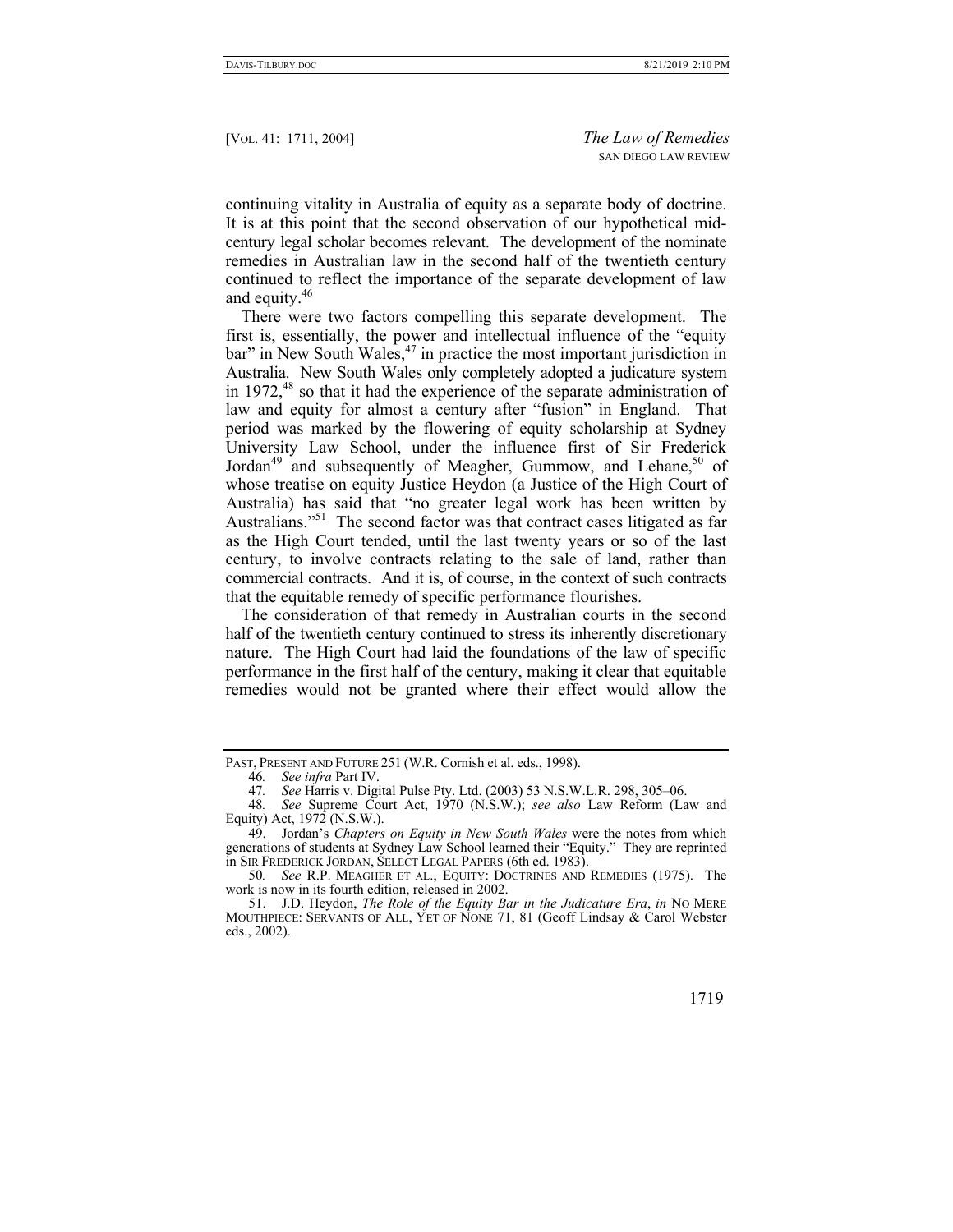continuing vitality in Australia of equity as a separate body of doctrine. It is at this point that the second observation of our hypothetical midcentury legal scholar becomes relevant. The development of the nominate remedies in Australian law in the second half of the twentieth century continued to reflect the importance of the separate development of law and equity.46

There were two factors compelling this separate development. The first is, essentially, the power and intellectual influence of the "equity  $bar'$  in New South Wales,  $47$  in practice the most important jurisdiction in Australia. New South Wales only completely adopted a judicature system in  $1972<sup>48</sup>$  so that it had the experience of the separate administration of law and equity for almost a century after "fusion" in England. That period was marked by the flowering of equity scholarship at Sydney University Law School, under the influence first of Sir Frederick Jordan<sup>49</sup> and subsequently of Meagher, Gummow, and Lehane,<sup>50</sup> of whose treatise on equity Justice Heydon (a Justice of the High Court of Australia) has said that "no greater legal work has been written by Australians."<sup>51</sup> The second factor was that contract cases litigated as far as the High Court tended, until the last twenty years or so of the last century, to involve contracts relating to the sale of land, rather than commercial contracts. And it is, of course, in the context of such contracts that the equitable remedy of specific performance flourishes.

The consideration of that remedy in Australian courts in the second half of the twentieth century continued to stress its inherently discretionary nature. The High Court had laid the foundations of the law of specific performance in the first half of the century, making it clear that equitable remedies would not be granted where their effect would allow the

PAST, PRESENT AND FUTURE 251 (W.R. Cornish et al. eds., 1998).

<sup>46</sup>*. See infra* Part IV.

<sup>47</sup>*. See* Harris v. Digital Pulse Pty. Ltd. (2003) 53 N.S.W.L.R. 298, 305–06.

<sup>48</sup>*. See* Supreme Court Act, 1970 (N.S.W.); *see also* Law Reform (Law and Equity) Act,  $1972$  (N.S.W.).

 <sup>49.</sup> Jordan's *Chapters on Equity in New South Wales* were the notes from which generations of students at Sydney Law School learned their "Equity." They are reprinted in SIR FREDERICK JORDAN, SELECT LEGAL PAPERS (6th ed. 1983).

<sup>50</sup>*. See* R.P. MEAGHER ET AL., EQUITY: DOCTRINES AND REMEDIES (1975). The work is now in its fourth edition, released in 2002.

 <sup>51.</sup> J.D. Heydon, *The Role of the Equity Bar in the Judicature Era*, *in* NO MERE MOUTHPIECE: SERVANTS OF ALL, YET OF NONE 71, 81 (Geoff Lindsay & Carol Webster eds., 2002).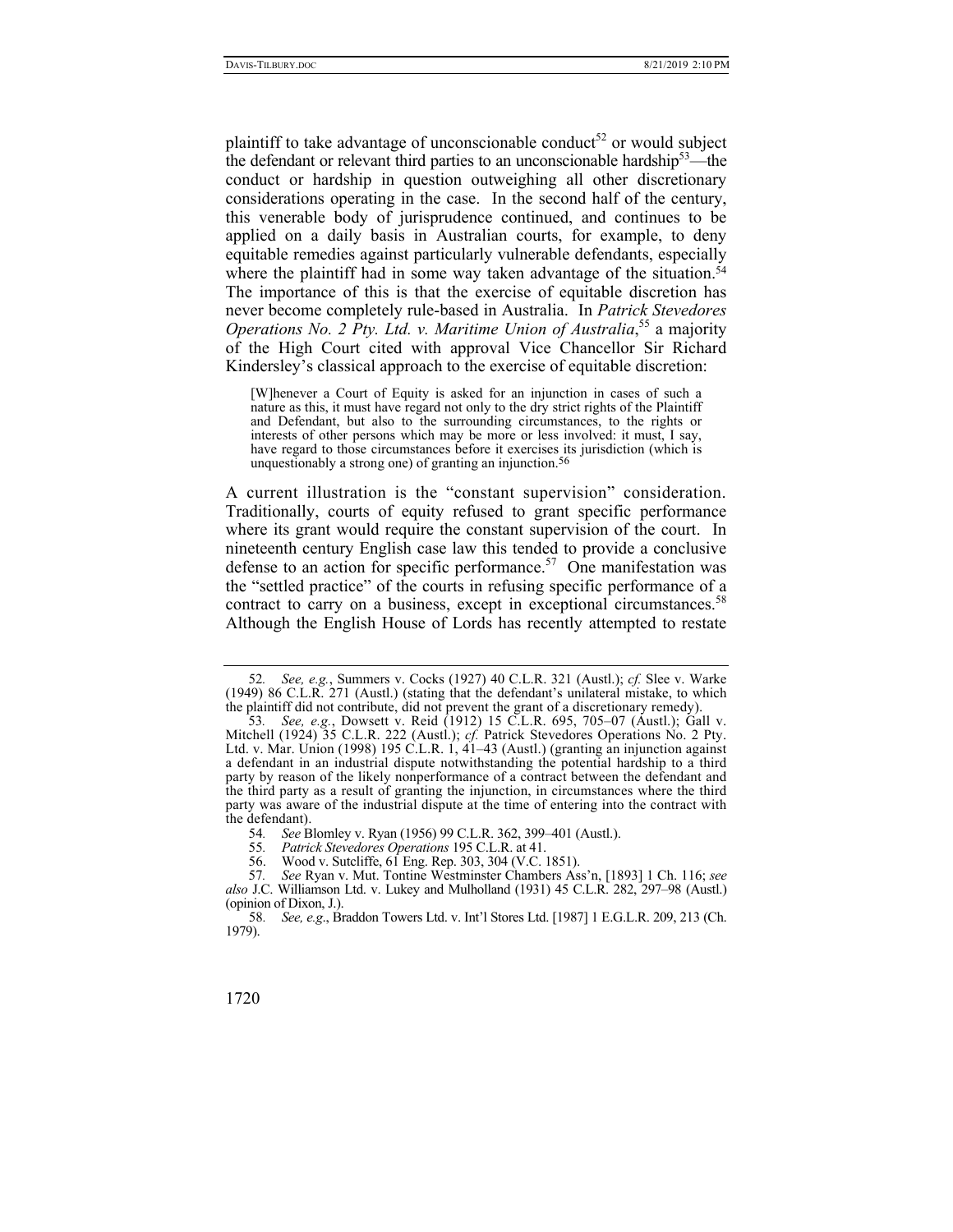plaintiff to take advantage of unconscionable conduct<sup>52</sup> or would subject the defendant or relevant third parties to an unconscionable hardship<sup>53</sup>—the conduct or hardship in question outweighing all other discretionary considerations operating in the case. In the second half of the century, this venerable body of jurisprudence continued, and continues to be applied on a daily basis in Australian courts, for example, to deny equitable remedies against particularly vulnerable defendants, especially where the plaintiff had in some way taken advantage of the situation.<sup>54</sup> The importance of this is that the exercise of equitable discretion has never become completely rule-based in Australia. In *Patrick Stevedores*  Operations No. 2 Pty. Ltd. v. Maritime Union of Australia,<sup>55</sup> a majority of the High Court cited with approval Vice Chancellor Sir Richard Kindersley's classical approach to the exercise of equitable discretion:

[W]henever a Court of Equity is asked for an injunction in cases of such a nature as this, it must have regard not only to the dry strict rights of the Plaintiff and Defendant, but also to the surrounding circumstances, to the rights or interests of other persons which may be more or less involved: it must, I say, have regard to those circumstances before it exercises its jurisdiction (which is unquestionably a strong one) of granting an injunction.56

A current illustration is the "constant supervision" consideration. Traditionally, courts of equity refused to grant specific performance where its grant would require the constant supervision of the court. In nineteenth century English case law this tended to provide a conclusive defense to an action for specific performance.<sup>57</sup> One manifestation was the "settled practice" of the courts in refusing specific performance of a contract to carry on a business, except in exceptional circumstances.<sup>58</sup> Although the English House of Lords has recently attempted to restate

<sup>52</sup>*. See, e.g.*, Summers v. Cocks (1927) 40 C.L.R. 321 (Austl.); *cf.* Slee v. Warke (1949) 86 C.L.R. 271 (Austl.) (stating that the defendant's unilateral mistake, to which the plaintiff did not contribute, did not prevent the grant of a discretionary remedy).

<sup>53</sup>*. See, e.g.*, Dowsett v. Reid (1912) 15 C.L.R. 695, 705–07 (Austl.); Gall v. Mitchell (1924) 35 C.L.R. 222 (Austl.); *cf.* Patrick Stevedores Operations No. 2 Pty. Ltd. v. Mar. Union (1998) 195 C.L.R. 1,  $41-43$  (Austl.) (granting an injunction against a defendant in an industrial dispute notwithstanding the potential hardship to a third party by reason of the likely nonperformance of a contract between the defendant and the third party as a result of granting the injunction, in circumstances where the third party was aware of the industrial dispute at the time of entering into the contract with the defendant).

<sup>54</sup>*. See* Blomley v. Ryan (1956) 99 C.L.R. 362, 399–401 (Austl.).

<sup>55</sup>*. Patrick Stevedores Operations* 195 C.L.R. at 41.

Wood v. Sutcliffe, 61 Eng. Rep. 303, 304 (V.C. 1851).

<sup>57</sup>*. See* Ryan v. Mut. Tontine Westminster Chambers Ass'n, [1893] 1 Ch. 116; *see also* J.C. Williamson Ltd. v. Lukey and Mulholland (1931) 45 C.L.R. 282, 297–98 (Austl.) (opinion of Dixon, J.).

<sup>58</sup>*. See, e.g*., Braddon Towers Ltd. v. Int'l Stores Ltd. [1987] 1 E.G.L.R. 209, 213 (Ch. 1979).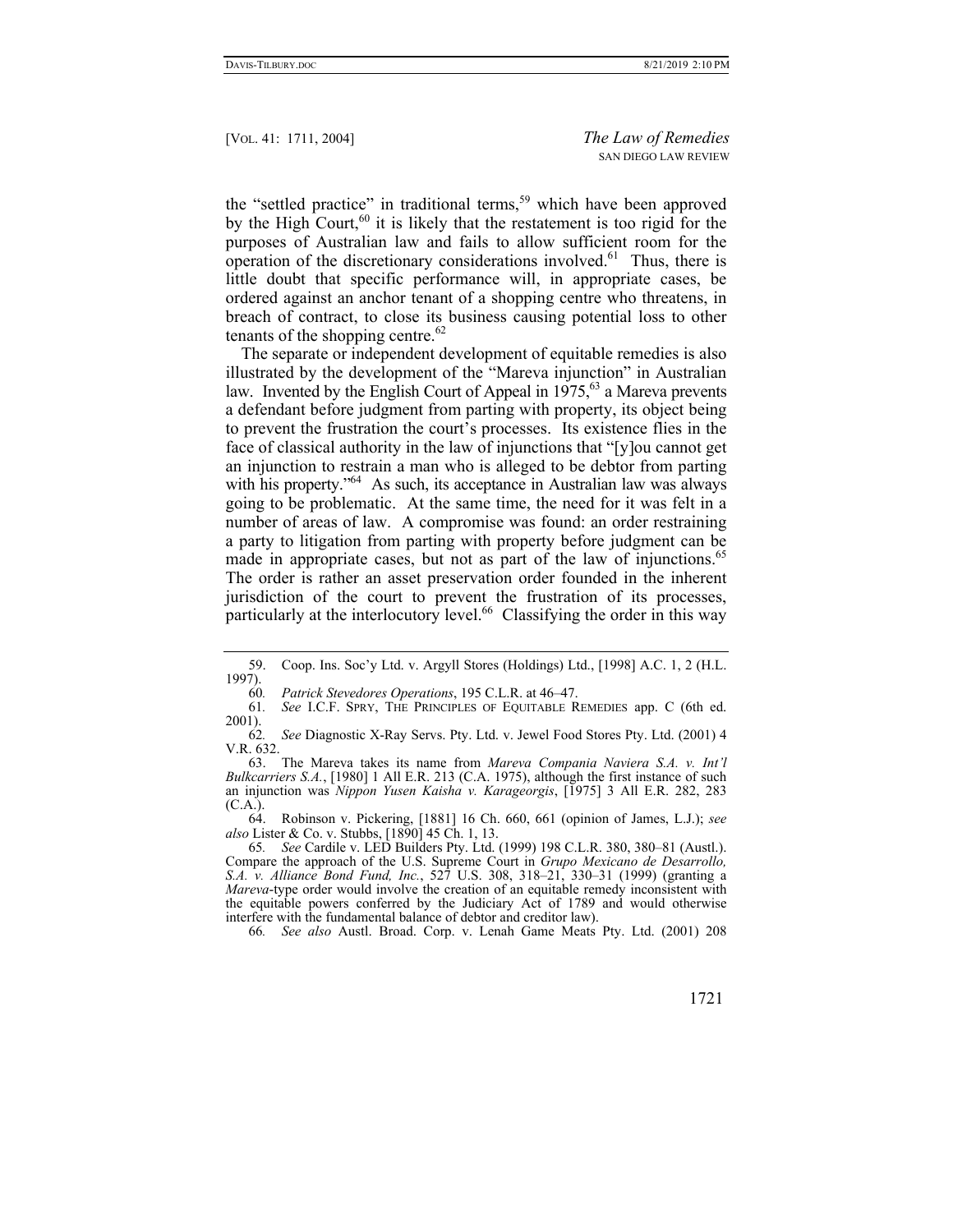the "settled practice" in traditional terms,<sup>59</sup> which have been approved by the High Court, $60$  it is likely that the restatement is too rigid for the purposes of Australian law and fails to allow sufficient room for the operation of the discretionary considerations involved.<sup>61</sup> Thus, there is little doubt that specific performance will, in appropriate cases, be ordered against an anchor tenant of a shopping centre who threatens, in breach of contract, to close its business causing potential loss to other tenants of the shopping centre.<sup>62</sup>

The separate or independent development of equitable remedies is also illustrated by the development of the "Mareva injunction" in Australian law. Invented by the English Court of Appeal in  $1975$ ,  $63$  a Mareva prevents a defendant before judgment from parting with property, its object being to prevent the frustration the court's processes. Its existence flies in the face of classical authority in the law of injunctions that "[y]ou cannot get an injunction to restrain a man who is alleged to be debtor from parting with his property."<sup>64</sup> As such, its acceptance in Australian law was always going to be problematic. At the same time, the need for it was felt in a number of areas of law. A compromise was found: an order restraining a party to litigation from parting with property before judgment can be made in appropriate cases, but not as part of the law of injunctions.<sup>65</sup> The order is rather an asset preservation order founded in the inherent jurisdiction of the court to prevent the frustration of its processes, particularly at the interlocutory level.<sup>66</sup> Classifying the order in this way

60*. Patrick Stevedores Operations*, 195 C.L.R. at 46–47.

 63. The Mareva takes its name from *Mareva Compania Naviera S.A. v. Int'l Bulkcarriers S.A.*, [1980] 1 All E.R. 213 (C.A. 1975), although the first instance of such an injunction was *Nippon Yusen Kaisha v. Karageorgis*, [1975] 3 All E.R. 282, 283 (C.A.).

 64. Robinson v. Pickering, [1881] 16 Ch. 660, 661 (opinion of James, L.J.); *see also* Lister & Co. v. Stubbs, [1890] 45 Ch. 1, 13.

65*. See* Cardile v. LED Builders Pty. Ltd. (1999) 198 C.L.R. 380, 380–81 (Austl.). Compare the approach of the U.S. Supreme Court in *Grupo Mexicano de Desarrollo, S.A. v. Alliance Bond Fund, Inc.*, 527 U.S. 308, 318–21, 330–31 (1999) (granting a *Mareva*-type order would involve the creation of an equitable remedy inconsistent with the equitable powers conferred by the Judiciary Act of 1789 and would otherwise interfere with the fundamental balance of debtor and creditor law).

66*. See also* Austl. Broad. Corp. v. Lenah Game Meats Pty. Ltd. (2001) 208

 <sup>59.</sup> Coop. Ins. Soc'y Ltd. v. Argyll Stores (Holdings) Ltd., [1998] A.C. 1, 2 (H.L. 1997).

<sup>61</sup>*. See* I.C.F. SPRY, THE PRINCIPLES OF EQUITABLE REMEDIES app. C (6th ed. 2001).

<sup>62</sup>*. See* Diagnostic X-Ray Servs. Pty. Ltd. v. Jewel Food Stores Pty. Ltd. (2001) 4 V.R. 632.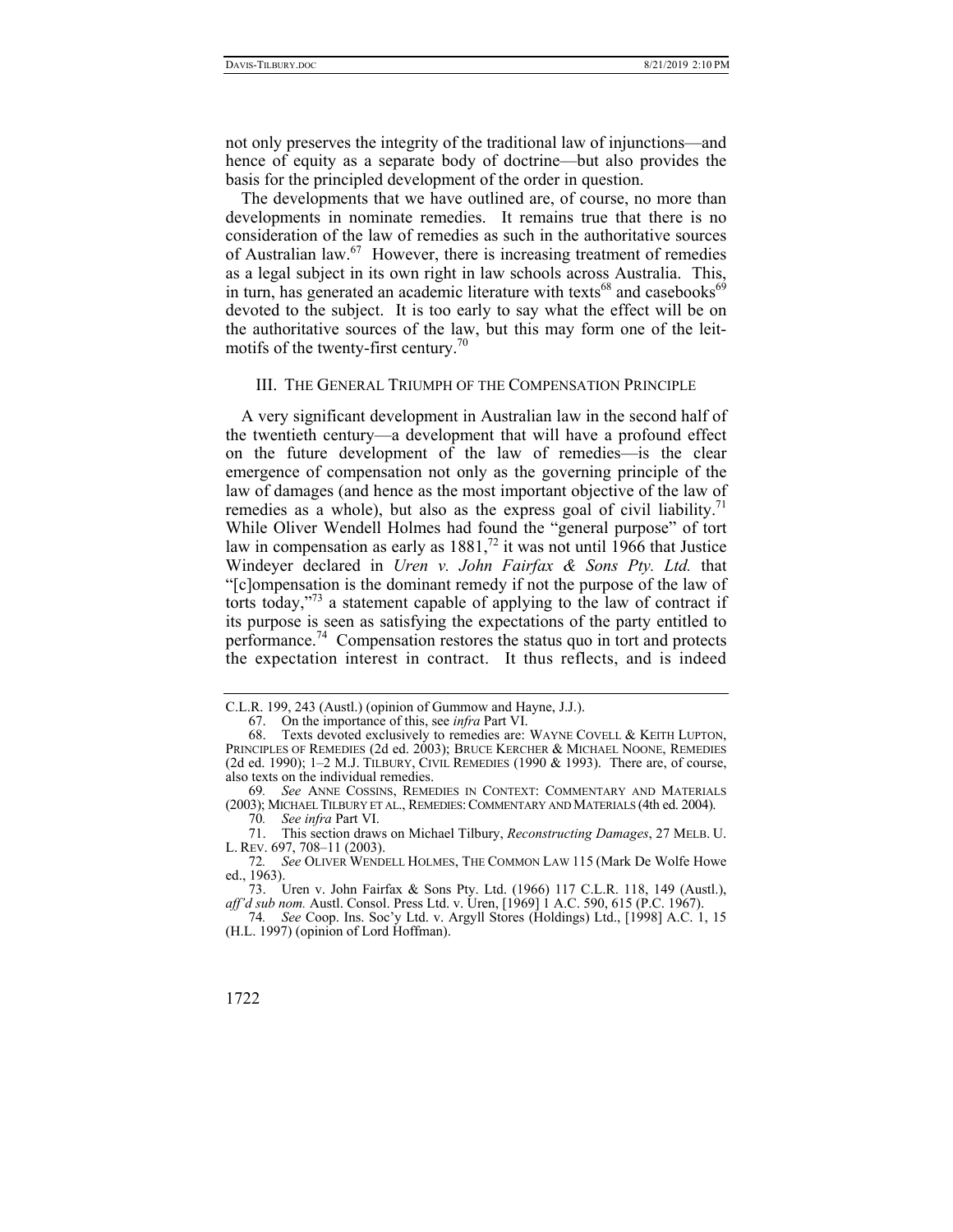not only preserves the integrity of the traditional law of injunctions—and hence of equity as a separate body of doctrine—but also provides the basis for the principled development of the order in question.

The developments that we have outlined are, of course, no more than developments in nominate remedies. It remains true that there is no consideration of the law of remedies as such in the authoritative sources of Australian law.67 However, there is increasing treatment of remedies as a legal subject in its own right in law schools across Australia. This, in turn, has generated an academic literature with texts<sup>68</sup> and casebooks<sup>69</sup> devoted to the subject. It is too early to say what the effect will be on the authoritative sources of the law, but this may form one of the leitmotifs of the twenty-first century.<sup>70</sup>

## III. THE GENERAL TRIUMPH OF THE COMPENSATION PRINCIPLE

A very significant development in Australian law in the second half of the twentieth century—a development that will have a profound effect on the future development of the law of remedies—is the clear emergence of compensation not only as the governing principle of the law of damages (and hence as the most important objective of the law of remedies as a whole), but also as the express goal of civil liability.<sup>71</sup> While Oliver Wendell Holmes had found the "general purpose" of tort law in compensation as early as  $1881<sup>72</sup>$  it was not until 1966 that Justice Windeyer declared in *Uren v. John Fairfax & Sons Pty. Ltd.* that "[c]ompensation is the dominant remedy if not the purpose of the law of torts today,"73 a statement capable of applying to the law of contract if its purpose is seen as satisfying the expectations of the party entitled to performance.74 Compensation restores the status quo in tort and protects the expectation interest in contract. It thus reflects, and is indeed

<sup>74</sup>*. See* Coop. Ins. Soc'y Ltd. v. Argyll Stores (Holdings) Ltd., [1998] A.C. 1, 15 (H.L. 1997) (opinion of Lord Hoffman).



C.L.R. 199, 243 (Austl.) (opinion of Gummow and Hayne, J.J.).

 <sup>67.</sup> On the importance of this, see *infra* Part VI.

 <sup>68.</sup> Texts devoted exclusively to remedies are: WAYNE COVELL & KEITH LUPTON, PRINCIPLES OF REMEDIES (2d ed. 2003); BRUCE KERCHER & MICHAEL NOONE, REMEDIES (2d ed. 1990); 1–2 M.J. TILBURY, CIVIL REMEDIES (1990 & 1993). There are, of course, also texts on the individual remedies.

<sup>69</sup>*. See* ANNE COSSINS, REMEDIES IN CONTEXT: COMMENTARY AND MATERIALS (2003); MICHAEL TILBURY ET AL., REMEDIES:COMMENTARY AND MATERIALS (4th ed. 2004).

<sup>70</sup>*. See infra* Part VI.

 <sup>71.</sup> This section draws on Michael Tilbury, *Reconstructing Damages*, 27 MELB. U. L. REV. 697, 708–11 (2003).

<sup>72</sup>*. See* OLIVER WENDELL HOLMES, THE COMMON LAW 115 (Mark De Wolfe Howe ed., 1963).

 <sup>73.</sup> Uren v. John Fairfax & Sons Pty. Ltd. (1966) 117 C.L.R. 118, 149 (Austl.), *aff'd sub nom.* Austl. Consol. Press Ltd. v. Uren, [1969] 1 A.C. 590, 615 (P.C. 1967).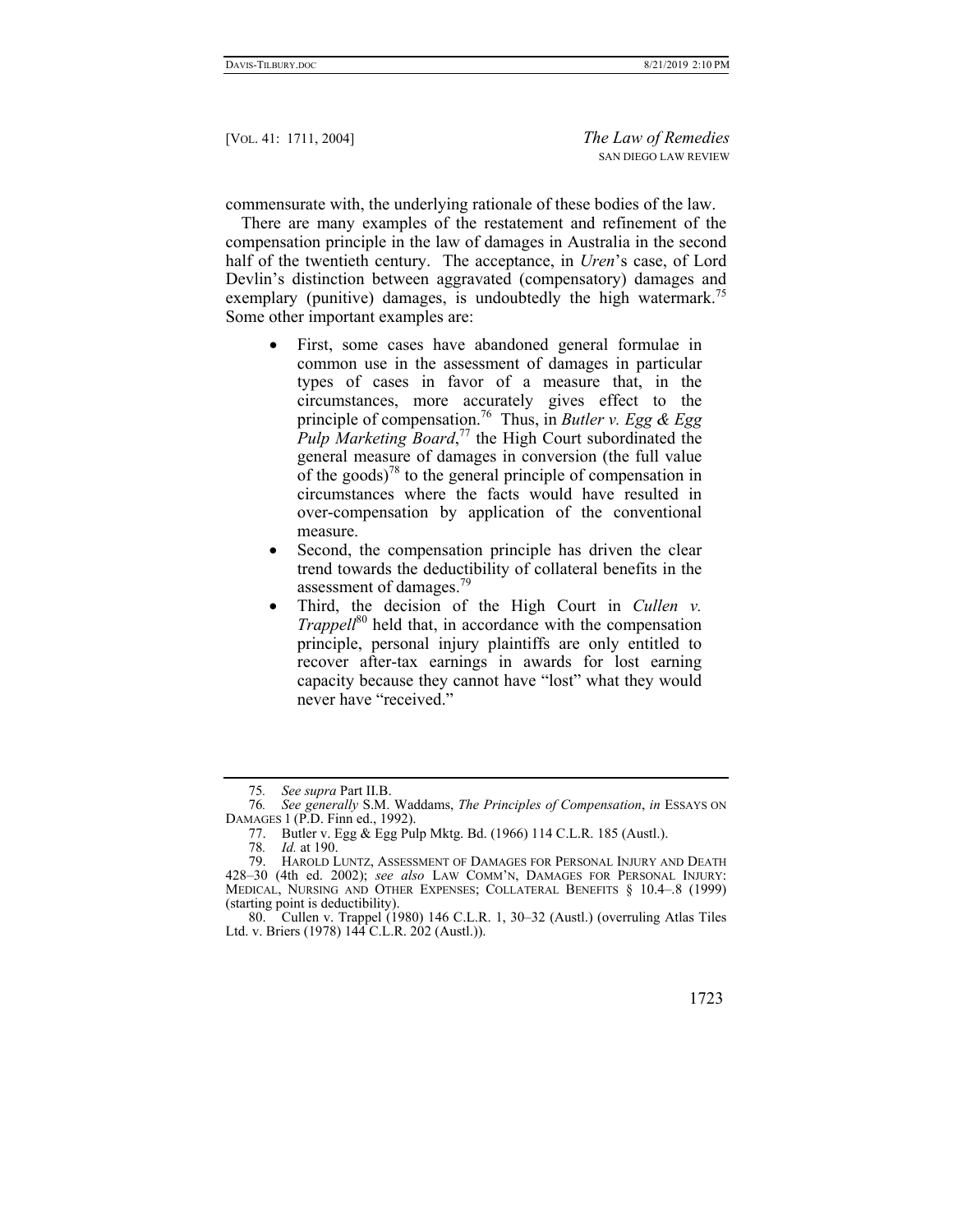commensurate with, the underlying rationale of these bodies of the law.

There are many examples of the restatement and refinement of the compensation principle in the law of damages in Australia in the second half of the twentieth century. The acceptance, in *Uren*'s case, of Lord Devlin's distinction between aggravated (compensatory) damages and exemplary (punitive) damages, is undoubtedly the high watermark.<sup>75</sup> Some other important examples are:

- First, some cases have abandoned general formulae in common use in the assessment of damages in particular types of cases in favor of a measure that, in the circumstances, more accurately gives effect to the principle of compensation.76 Thus, in *Butler v. Egg & Egg Pulp Marketing Board*, <sup>77</sup> the High Court subordinated the general measure of damages in conversion (the full value of the goods)<sup>78</sup> to the general principle of compensation in circumstances where the facts would have resulted in over-compensation by application of the conventional measure.
- Second, the compensation principle has driven the clear trend towards the deductibility of collateral benefits in the assessment of damages.<sup>79</sup>
- Third, the decision of the High Court in *Cullen v. Trappell*<sup>80</sup> held that, in accordance with the compensation principle, personal injury plaintiffs are only entitled to recover after-tax earnings in awards for lost earning capacity because they cannot have "lost" what they would never have "received."

 <sup>80.</sup> Cullen v. Trappel (1980) 146 C.L.R. 1, 30–32 (Austl.) (overruling Atlas Tiles Ltd. v. Briers (1978) 144 C.L.R. 202 (Austl.)).



<sup>75</sup>*. See supra* Part II.B.

<sup>76</sup>*. See generally* S.M. Waddams, *The Principles of Compensation*, *in* ESSAYS ON DAMAGES 1 (P.D. Finn ed., 1992).

 <sup>77.</sup> Butler v. Egg & Egg Pulp Mktg. Bd. (1966) 114 C.L.R. 185 (Austl.).

<sup>78</sup>*. Id.* at 190.

 <sup>79.</sup> HAROLD LUNTZ, ASSESSMENT OF DAMAGES FOR PERSONAL INJURY AND DEATH 428–30 (4th ed. 2002); *see also* LAW COMM'N, DAMAGES FOR PERSONAL INJURY: MEDICAL, NURSING AND OTHER EXPENSES; COLLATERAL BENEFITS § 10.4–.8 (1999) (starting point is deductibility).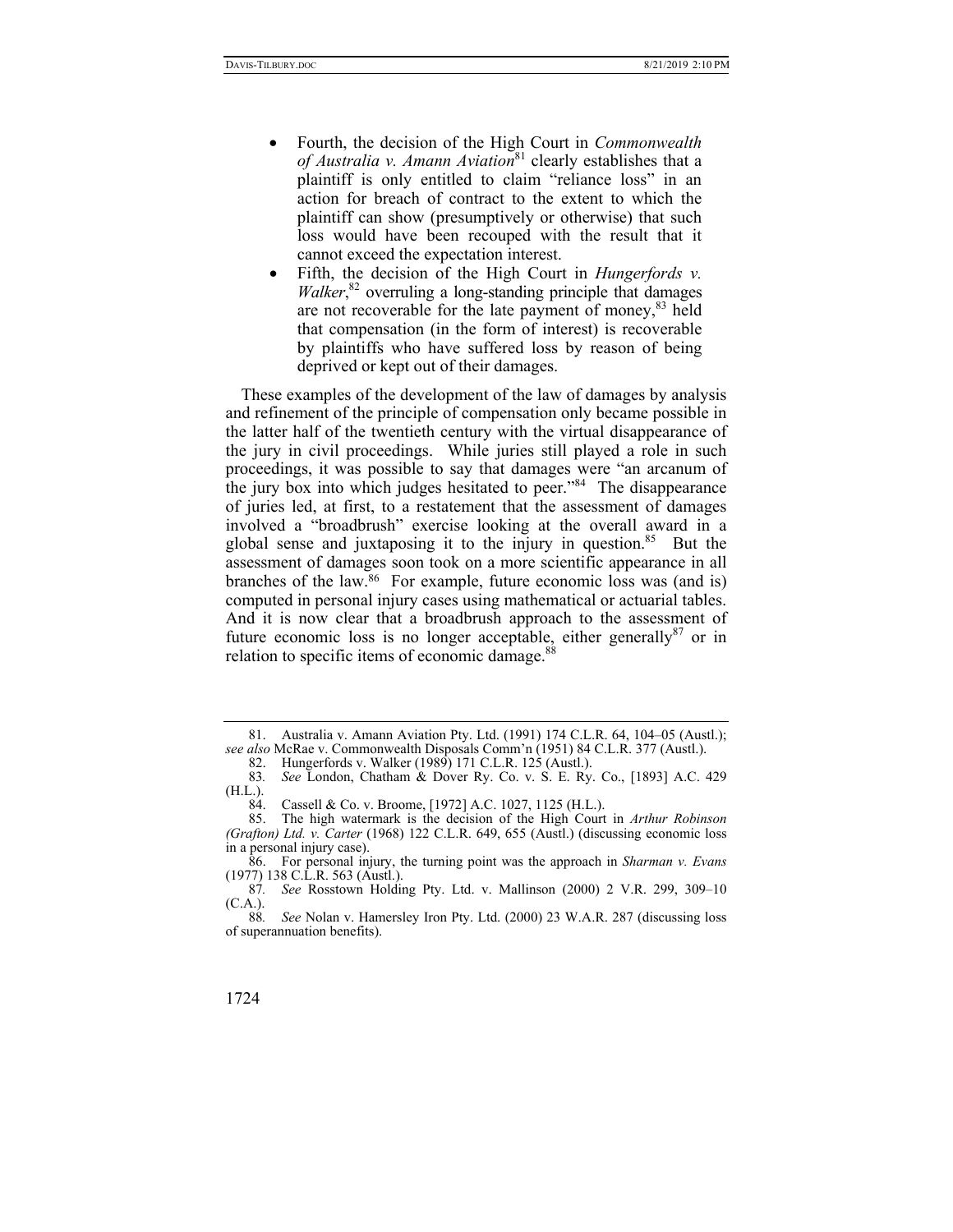- Fourth, the decision of the High Court in *Commonwealth of Australia v. Amann Aviation*<sup>81</sup> clearly establishes that a plaintiff is only entitled to claim "reliance loss" in an action for breach of contract to the extent to which the plaintiff can show (presumptively or otherwise) that such loss would have been recouped with the result that it cannot exceed the expectation interest.
- Fifth, the decision of the High Court in *Hungerfords v. Walker*, 82 overruling a long-standing principle that damages are not recoverable for the late payment of money,<sup>83</sup> held that compensation (in the form of interest) is recoverable by plaintiffs who have suffered loss by reason of being deprived or kept out of their damages.

These examples of the development of the law of damages by analysis and refinement of the principle of compensation only became possible in the latter half of the twentieth century with the virtual disappearance of the jury in civil proceedings. While juries still played a role in such proceedings, it was possible to say that damages were "an arcanum of the jury box into which judges hesitated to peer."84 The disappearance of juries led, at first, to a restatement that the assessment of damages involved a "broadbrush" exercise looking at the overall award in a global sense and juxtaposing it to the injury in question.<sup>85</sup> But the assessment of damages soon took on a more scientific appearance in all branches of the law.86 For example, future economic loss was (and is) computed in personal injury cases using mathematical or actuarial tables. And it is now clear that a broadbrush approach to the assessment of future economic loss is no longer acceptable, either generally  $87$  or in relation to specific items of economic damage.<sup>88</sup>

 <sup>81.</sup> Australia v. Amann Aviation Pty. Ltd. (1991) 174 C.L.R. 64, 104–05 (Austl.); *see also* McRae v. Commonwealth Disposals Comm'n (1951) 84 C.L.R. 377 (Austl.). 82. Hungerfords v. Walker (1989) 171 C.L.R. 125 (Austl.).

<sup>83</sup>*. See* London, Chatham & Dover Ry. Co. v. S. E. Ry. Co., [1893] A.C. 429 (H.L.).

 <sup>84.</sup> Cassell & Co. v. Broome, [1972] A.C. 1027, 1125 (H.L.).

 <sup>85.</sup> The high watermark is the decision of the High Court in *Arthur Robinson (Grafton) Ltd. v. Carter* (1968) 122 C.L.R. 649, 655 (Austl.) (discussing economic loss in a personal injury case).

 <sup>86.</sup> For personal injury, the turning point was the approach in *Sharman v. Evans* (1977) 138 C.L.R. 563 (Austl.).

<sup>87</sup>*. See* Rosstown Holding Pty. Ltd. v. Mallinson (2000) 2 V.R. 299, 309–10 (C.A.).

See Nolan v. Hamersley Iron Pty. Ltd. (2000) 23 W.A.R. 287 (discussing loss of superannuation benefits).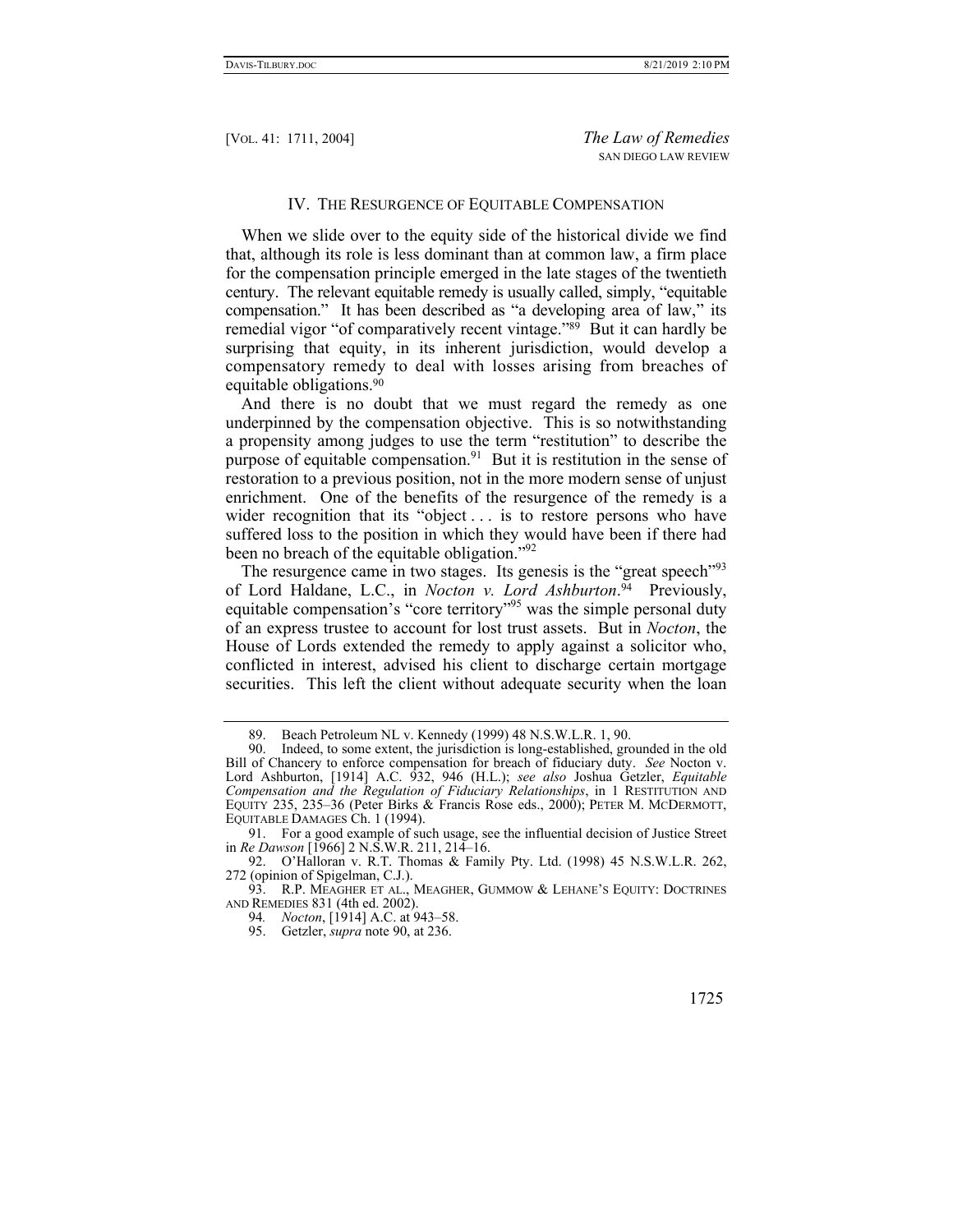## IV. THE RESURGENCE OF EQUITABLE COMPENSATION

When we slide over to the equity side of the historical divide we find that, although its role is less dominant than at common law, a firm place for the compensation principle emerged in the late stages of the twentieth century. The relevant equitable remedy is usually called, simply, "equitable compensation." It has been described as "a developing area of law," its remedial vigor "of comparatively recent vintage."89 But it can hardly be surprising that equity, in its inherent jurisdiction, would develop a compensatory remedy to deal with losses arising from breaches of equitable obligations.90

And there is no doubt that we must regard the remedy as one underpinned by the compensation objective. This is so notwithstanding a propensity among judges to use the term "restitution" to describe the purpose of equitable compensation.<sup>91</sup> But it is restitution in the sense of restoration to a previous position, not in the more modern sense of unjust enrichment. One of the benefits of the resurgence of the remedy is a wider recognition that its "object . . . is to restore persons who have suffered loss to the position in which they would have been if there had been no breach of the equitable obligation."<sup>92</sup>

The resurgence came in two stages. Its genesis is the "great speech"<sup>93</sup> of Lord Haldane, L.C., in *Nocton v. Lord Ashburton*. 94 Previously, equitable compensation's "core territory"<sup>95</sup> was the simple personal duty of an express trustee to account for lost trust assets. But in *Nocton*, the House of Lords extended the remedy to apply against a solicitor who, conflicted in interest, advised his client to discharge certain mortgage securities. This left the client without adequate security when the loan

<sup>89.</sup> Beach Petroleum NL v. Kennedy (1999) 48 N.S.W.L.R. 1, 90.<br>90. Indeed, to some extent, the jurisdiction is long-established, group

Indeed, to some extent, the jurisdiction is long-established, grounded in the old Bill of Chancery to enforce compensation for breach of fiduciary duty. *See* Nocton v. Lord Ashburton, [1914] A.C. 932, 946 (H.L.); *see also* Joshua Getzler, *Equitable Compensation and the Regulation of Fiduciary Relationships*, in 1 RESTITUTION AND EQUITY 235, 235–36 (Peter Birks & Francis Rose eds., 2000); PETER M. MCDERMOTT, EQUITABLE DAMAGES Ch. 1 (1994).

 <sup>91.</sup> For a good example of such usage, see the influential decision of Justice Street in *Re Dawson* [1966] 2 N.S.W.R. 211, 214–16.

 <sup>92.</sup> O'Halloran v. R.T. Thomas & Family Pty. Ltd. (1998) 45 N.S.W.L.R. 262, 272 (opinion of Spigelman, C.J.).

 <sup>93.</sup> R.P. MEAGHER ET AL., MEAGHER, GUMMOW & LEHANE'S EQUITY: DOCTRINES AND REMEDIES 831 (4th ed. 2002).

<sup>94</sup>*. Nocton*, [1914] A.C. at 943–58.

 <sup>95.</sup> Getzler, *supra* note 90, at 236.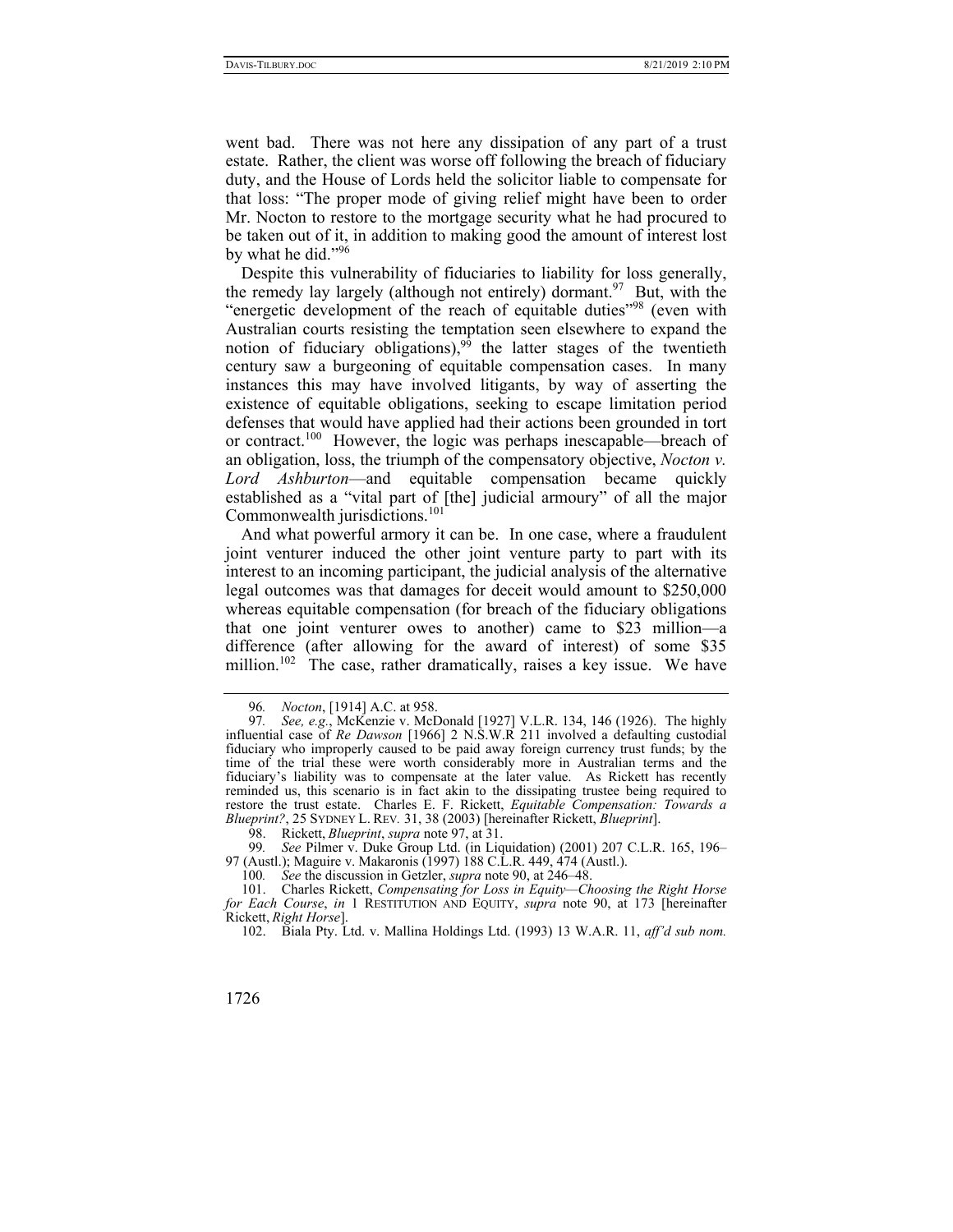went bad. There was not here any dissipation of any part of a trust estate. Rather, the client was worse off following the breach of fiduciary duty, and the House of Lords held the solicitor liable to compensate for that loss: "The proper mode of giving relief might have been to order Mr. Nocton to restore to the mortgage security what he had procured to be taken out of it, in addition to making good the amount of interest lost by what he did."<sup>96</sup>

Despite this vulnerability of fiduciaries to liability for loss generally, the remedy lay largely (although not entirely) dormant.<sup>97</sup> But, with the "energetic development of the reach of equitable duties"<sup>98</sup> (even with Australian courts resisting the temptation seen elsewhere to expand the notion of fiduciary obligations),<sup>99</sup> the latter stages of the twentieth century saw a burgeoning of equitable compensation cases. In many instances this may have involved litigants, by way of asserting the existence of equitable obligations, seeking to escape limitation period defenses that would have applied had their actions been grounded in tort or contract.100 However, the logic was perhaps inescapable—breach of an obligation, loss, the triumph of the compensatory objective, *Nocton v. Lord Ashburton*—and equitable compensation became quickly established as a "vital part of [the] judicial armoury" of all the major Commonwealth jurisdictions.<sup>101</sup>

And what powerful armory it can be. In one case, where a fraudulent joint venturer induced the other joint venture party to part with its interest to an incoming participant, the judicial analysis of the alternative legal outcomes was that damages for deceit would amount to \$250,000 whereas equitable compensation (for breach of the fiduciary obligations that one joint venturer owes to another) came to \$23 million—a difference (after allowing for the award of interest) of some \$35 million.<sup>102</sup> The case, rather dramatically, raises a key issue. We have

<sup>96</sup>*. Nocton*, [1914] A.C. at 958.

<sup>97</sup>*. See, e.g.*, McKenzie v. McDonald [1927] V.L.R. 134, 146 (1926). The highly influential case of *Re Dawson* [1966] 2 N.S.W.R 211 involved a defaulting custodial fiduciary who improperly caused to be paid away foreign currency trust funds; by the time of the trial these were worth considerably more in Australian terms and the fiduciary's liability was to compensate at the later value. As Rickett has recently reminded us, this scenario is in fact akin to the dissipating trustee being required to restore the trust estate. Charles E. F. Rickett, *Equitable Compensation: Towards a Blueprint?*, 25 SYDNEY L. REV*.* 31, 38 (2003) [hereinafter Rickett, *Blueprint*].

 <sup>98.</sup> Rickett, *Blueprint*, *supra* note 97, at 31.

<sup>99</sup>*. See* Pilmer v. Duke Group Ltd. (in Liquidation) (2001) 207 C.L.R. 165, 196– 97 (Austl.); Maguire v. Makaronis (1997) 188 C.L.R. 449, 474 (Austl.).

<sup>100</sup>*. See* the discussion in Getzler, *supra* note 90, at 246–48.

 <sup>101.</sup> Charles Rickett, *Compensating for Loss in Equity—Choosing the Right Horse for Each Course*, *in* 1 RESTITUTION AND EQUITY, *supra* note 90, at 173 [hereinafter Rickett, *Right Horse*].

 <sup>102.</sup> Biala Pty. Ltd. v. Mallina Holdings Ltd. (1993) 13 W.A.R. 11, *aff'd sub nom.*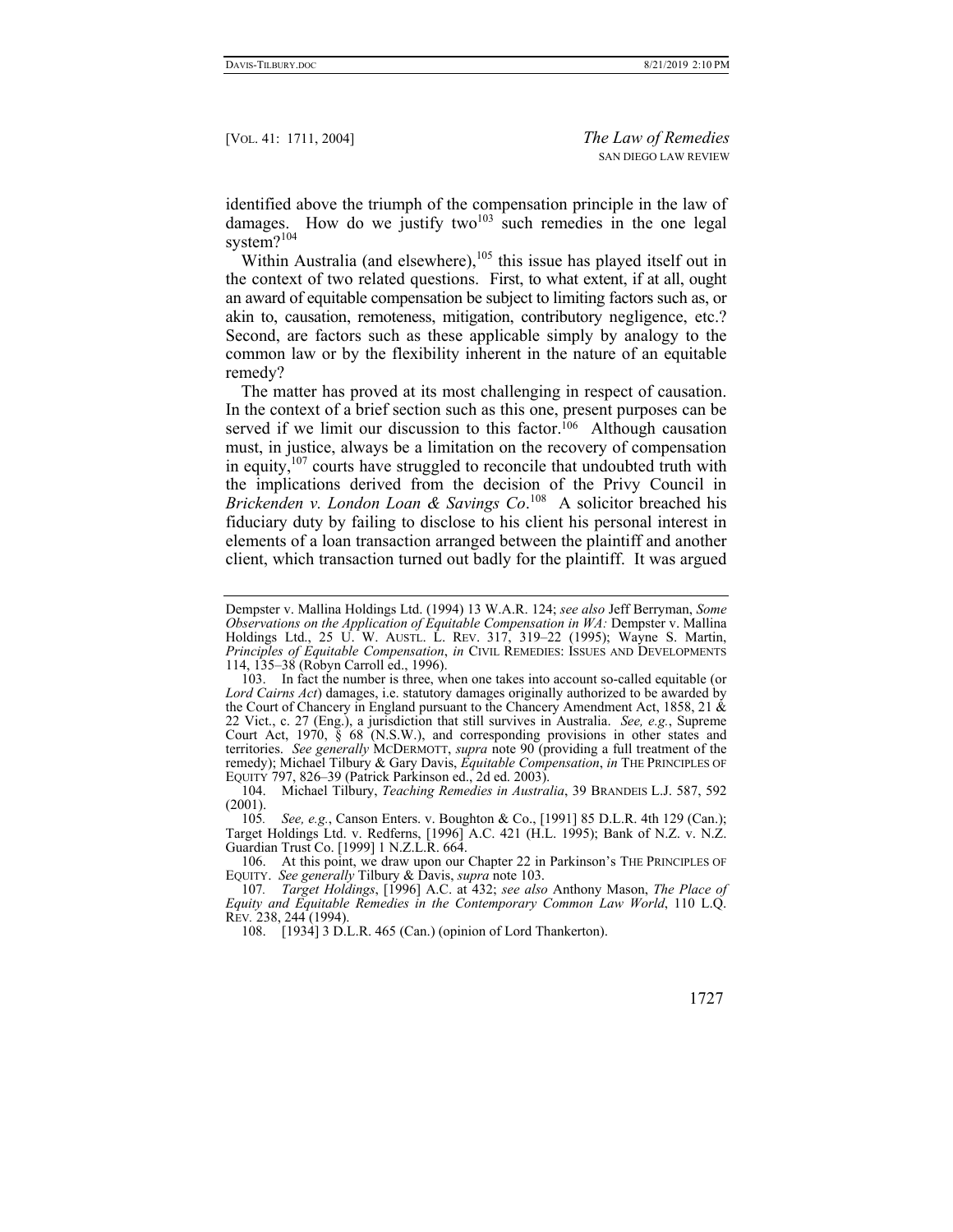identified above the triumph of the compensation principle in the law of damages. How do we justify two<sup>103</sup> such remedies in the one legal system?<sup>104</sup>

Within Australia (and elsewhere), $105$  this issue has played itself out in the context of two related questions. First, to what extent, if at all, ought an award of equitable compensation be subject to limiting factors such as, or akin to, causation, remoteness, mitigation, contributory negligence, etc.? Second, are factors such as these applicable simply by analogy to the common law or by the flexibility inherent in the nature of an equitable remedy?

The matter has proved at its most challenging in respect of causation. In the context of a brief section such as this one, present purposes can be served if we limit our discussion to this factor.<sup>106</sup> Although causation must, in justice, always be a limitation on the recovery of compensation in equity, $107$  courts have struggled to reconcile that undoubted truth with the implications derived from the decision of the Privy Council in *Brickenden v. London Loan & Savings Co*. 108 A solicitor breached his fiduciary duty by failing to disclose to his client his personal interest in elements of a loan transaction arranged between the plaintiff and another client, which transaction turned out badly for the plaintiff. It was argued

105*. See, e.g.*, Canson Enters. v. Boughton & Co., [1991] 85 D.L.R. 4th 129 (Can.); Target Holdings Ltd. v. Redferns, [1996] A.C. 421 (H.L. 1995); Bank of N.Z. v. N.Z. Guardian Trust Co. [1999] 1 N.Z.L.R. 664.

Dempster v. Mallina Holdings Ltd. (1994) 13 W.A.R. 124; *see also* Jeff Berryman, *Some Observations on the Application of Equitable Compensation in WA: Dempster v. Mallina* Holdings Ltd., 25 U. W. Ausri. L. REV. 317, 319-22 (1995); Wayne S. Martin, *Principles of Equitable Compensation*, *in* CIVIL REMEDIES: ISSUES AND DEVELOPMENTS 114, 135–38 (Robyn Carroll ed., 1996).

 <sup>103.</sup> In fact the number is three, when one takes into account so-called equitable (or *Lord Cairns Act*) damages, i.e. statutory damages originally authorized to be awarded by the Court of Chancery in England pursuant to the Chancery Amendment Act, 1858, 21  $\&$ 22 Vict., c. 27 (Eng.), a jurisdiction that still survives in Australia. *See, e.g.*, Supreme Court Act, 1970, § 68 (N.S.W.), and corresponding provisions in other states and territories. *See generally* MCDERMOTT, *supra* note 90 (providing a full treatment of the remedy); Michael Tilbury & Gary Davis, *Equitable Compensation*, *in* THE PRINCIPLES OF EQUITY 797, 826–39 (Patrick Parkinson ed., 2d ed. 2003).

 <sup>104.</sup> Michael Tilbury, *Teaching Remedies in Australia*, 39 BRANDEIS L.J. 587, 592 (2001).

 <sup>106.</sup> At this point, we draw upon our Chapter 22 in Parkinson's THE PRINCIPLES OF EQUITY. *See generally* Tilbury & Davis, *supra* note 103.

<sup>107</sup>*. Target Holdings*, [1996] A.C. at 432; *see also* Anthony Mason, *The Place of Equity and Equitable Remedies in the Contemporary Common Law World*, 110 L.Q. REV*.* 238, 244 (1994).

 <sup>108. [1934] 3</sup> D.L.R. 465 (Can.) (opinion of Lord Thankerton).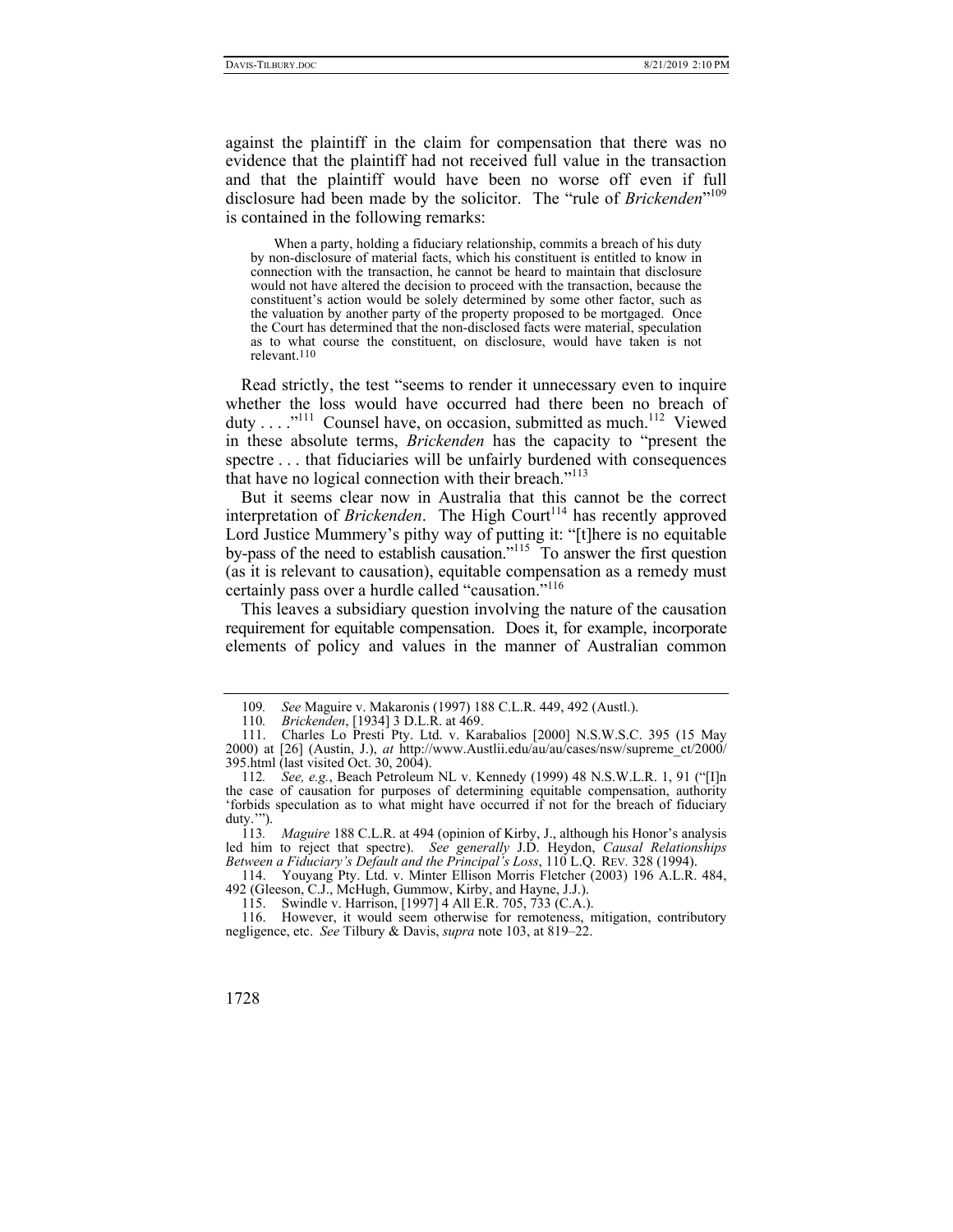against the plaintiff in the claim for compensation that there was no evidence that the plaintiff had not received full value in the transaction and that the plaintiff would have been no worse off even if full disclosure had been made by the solicitor. The "rule of *Brickenden*"109 is contained in the following remarks:

 When a party, holding a fiduciary relationship, commits a breach of his duty by non-disclosure of material facts, which his constituent is entitled to know in connection with the transaction, he cannot be heard to maintain that disclosure would not have altered the decision to proceed with the transaction, because the constituent's action would be solely determined by some other factor, such as the valuation by another party of the property proposed to be mortgaged. Once the Court has determined that the non-disclosed facts were material, speculation as to what course the constituent, on disclosure, would have taken is not relevant.110

Read strictly, the test "seems to render it unnecessary even to inquire whether the loss would have occurred had there been no breach of duty . . .  $.^{111}$  Counsel have, on occasion, submitted as much.<sup>112</sup> Viewed in these absolute terms, *Brickenden* has the capacity to "present the spectre . . . that fiduciaries will be unfairly burdened with consequences that have no logical connection with their breach."<sup>113</sup>

But it seems clear now in Australia that this cannot be the correct interpretation of *Brickenden*. The High Court<sup>114</sup> has recently approved Lord Justice Mummery's pithy way of putting it: "[t]here is no equitable by-pass of the need to establish causation."<sup>115</sup> To answer the first question (as it is relevant to causation), equitable compensation as a remedy must certainly pass over a hurdle called "causation."<sup>116</sup>

This leaves a subsidiary question involving the nature of the causation requirement for equitable compensation. Does it, for example, incorporate elements of policy and values in the manner of Australian common

<sup>109</sup>*. See* Maguire v. Makaronis (1997) 188 C.L.R. 449, 492 (Austl.).

<sup>110</sup>*. Brickenden*, [1934] 3 D.L.R. at 469.

 <sup>111.</sup> Charles Lo Presti Pty. Ltd. v. Karabalios [2000] N.S.W.S.C. 395 (15 May 2000) at [26] (Austin, J.), *at* http://www.Austlii.edu/au/au/cases/nsw/supreme\_ct/2000/ 395.html (last visited Oct. 30, 2004).

<sup>112</sup>*. See, e.g.*, Beach Petroleum NL v. Kennedy (1999) 48 N.S.W.L.R. 1, 91 ("[I]n the case of causation for purposes of determining equitable compensation, authority 'forbids speculation as to what might have occurred if not for the breach of fiduciary duty.'").

<sup>113</sup>*. Maguire* 188 C.L.R. at 494 (opinion of Kirby, J., although his Honor's analysis led him to reject that spectre). *See generally* J.D. Heydon, *Causal Relationships Between a Fiduciary's Default and the Principal's Loss*, 110 L.Q. REV*.* 328 (1994).

 <sup>114.</sup> Youyang Pty. Ltd. v. Minter Ellison Morris Fletcher (2003) 196 A.L.R. 484, 492 (Gleeson, C.J., McHugh, Gummow, Kirby, and Hayne, J.J.).

 <sup>115.</sup> Swindle v. Harrison, [1997] 4 All E.R. 705, 733 (C.A.).

 <sup>116.</sup> However, it would seem otherwise for remoteness, mitigation, contributory negligence, etc. *See* Tilbury & Davis, *supra* note 103, at 819–22.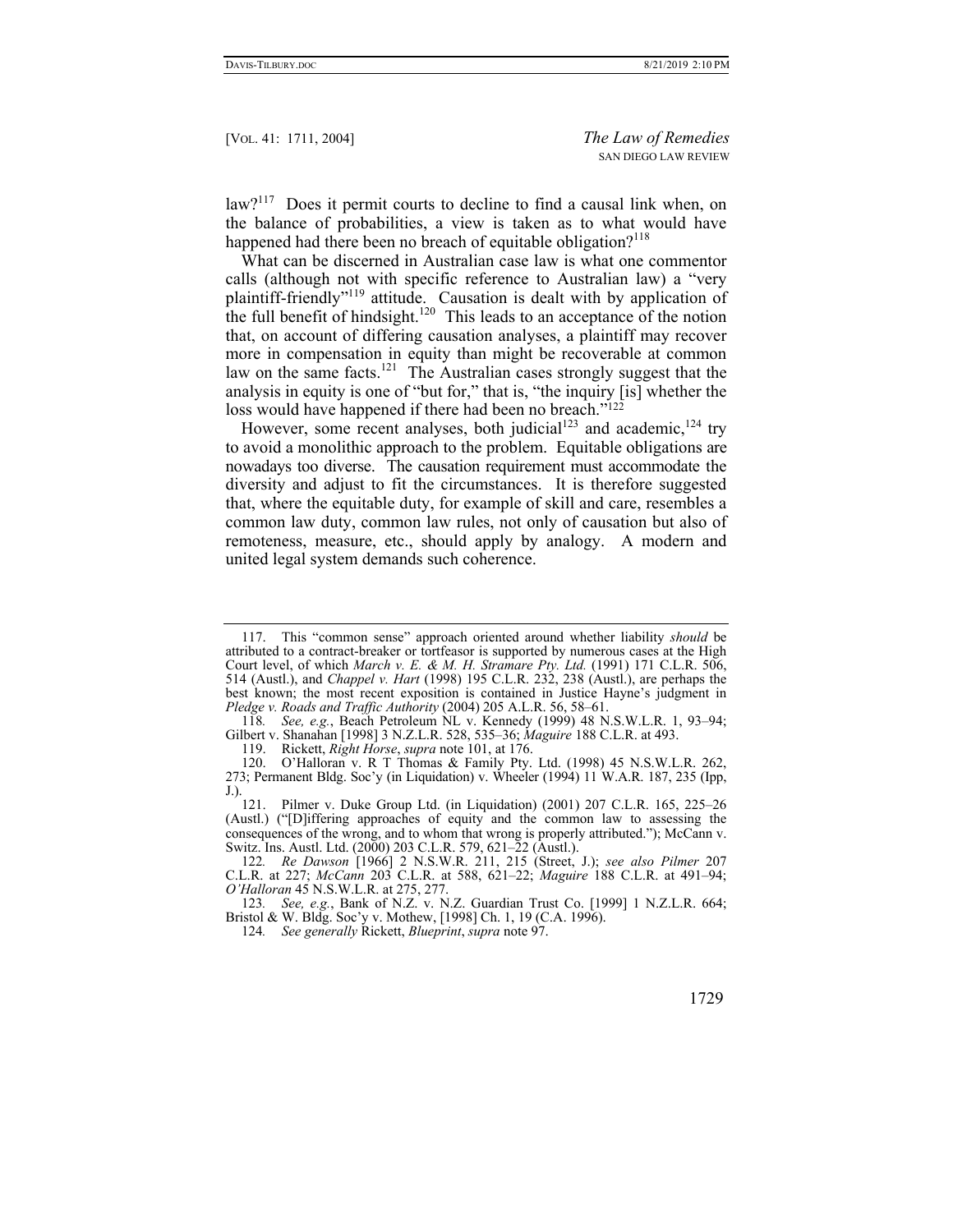law?<sup>117</sup> Does it permit courts to decline to find a causal link when, on the balance of probabilities, a view is taken as to what would have happened had there been no breach of equitable obligation? $118$ 

What can be discerned in Australian case law is what one commentor calls (although not with specific reference to Australian law) a "very plaintiff-friendly"<sup>119</sup> attitude. Causation is dealt with by application of the full benefit of hindsight.<sup>120</sup> This leads to an acceptance of the notion that, on account of differing causation analyses, a plaintiff may recover more in compensation in equity than might be recoverable at common law on the same facts.<sup>121</sup> The Australian cases strongly suggest that the analysis in equity is one of "but for," that is, "the inquiry [is] whether the loss would have happened if there had been no breach."122

However, some recent analyses, both judicial<sup>123</sup> and academic,  $124$  try to avoid a monolithic approach to the problem. Equitable obligations are nowadays too diverse. The causation requirement must accommodate the diversity and adjust to fit the circumstances. It is therefore suggested that, where the equitable duty, for example of skill and care, resembles a common law duty, common law rules, not only of causation but also of remoteness, measure, etc., should apply by analogy. A modern and united legal system demands such coherence.

118*. See, e.g.*, Beach Petroleum NL v. Kennedy (1999) 48 N.S.W.L.R. 1, 93–94; Gilbert v. Shanahan [1998] 3 N.Z.L.R. 528, 535–36; *Maguire* 188 C.L.R. at 493.

 <sup>117.</sup> This "common sense" approach oriented around whether liability *should* be attributed to a contract-breaker or tortfeasor is supported by numerous cases at the High Court level, of which *March v. E. & M. H. Stramare Pty. Ltd.* (1991) 171 C.L.R. 506, 514 (Austl.), and *Chappel v. Hart* (1998) 195 C.L.R. 232, 238 (Austl.), are perhaps the best known; the most recent exposition is contained in Justice Hayne's judgment in *Pledge v. Roads and Traffic Authority* (2004) 205 A.L.R. 56, 58–61.

 <sup>119.</sup> Rickett, *Right Horse*, *supra* note 101, at 176.

 <sup>120.</sup> O'Halloran v. R T Thomas & Family Pty. Ltd. (1998) 45 N.S.W.L.R. 262, 273; Permanent Bldg. Soc'y (in Liquidation) v. Wheeler (1994) 11 W.A.R. 187, 235 (Ipp, J.).

 <sup>121.</sup> Pilmer v. Duke Group Ltd. (in Liquidation) (2001) 207 C.L.R. 165, 225–26 (Austl.) ("[D]iffering approaches of equity and the common law to assessing the consequences of the wrong, and to whom that wrong is properly attributed."); McCann v. Switz. Ins. Austl. Ltd. (2000) 203 C.L.R. 579, 621–22 (Austl.).

<sup>122</sup>*. Re Dawson* [1966] 2 N.S.W.R. 211, 215 (Street, J.); *see also Pilmer* 207 C.L.R. at 227; *McCann* 203 C.L.R. at 588, 621–22; *Maguire* 188 C.L.R. at 491–94; *O'Halloran* 45 N.S.W.L.R. at 275, 277.

<sup>123</sup>*. See, e.g.*, Bank of N.Z. v. N.Z. Guardian Trust Co. [1999] 1 N.Z.L.R. 664; Bristol & W. Bldg. Soc'y v. Mothew, [1998] Ch. 1, 19 (C.A. 1996).

<sup>124</sup>*. See generally* Rickett, *Blueprint*, *supra* note 97.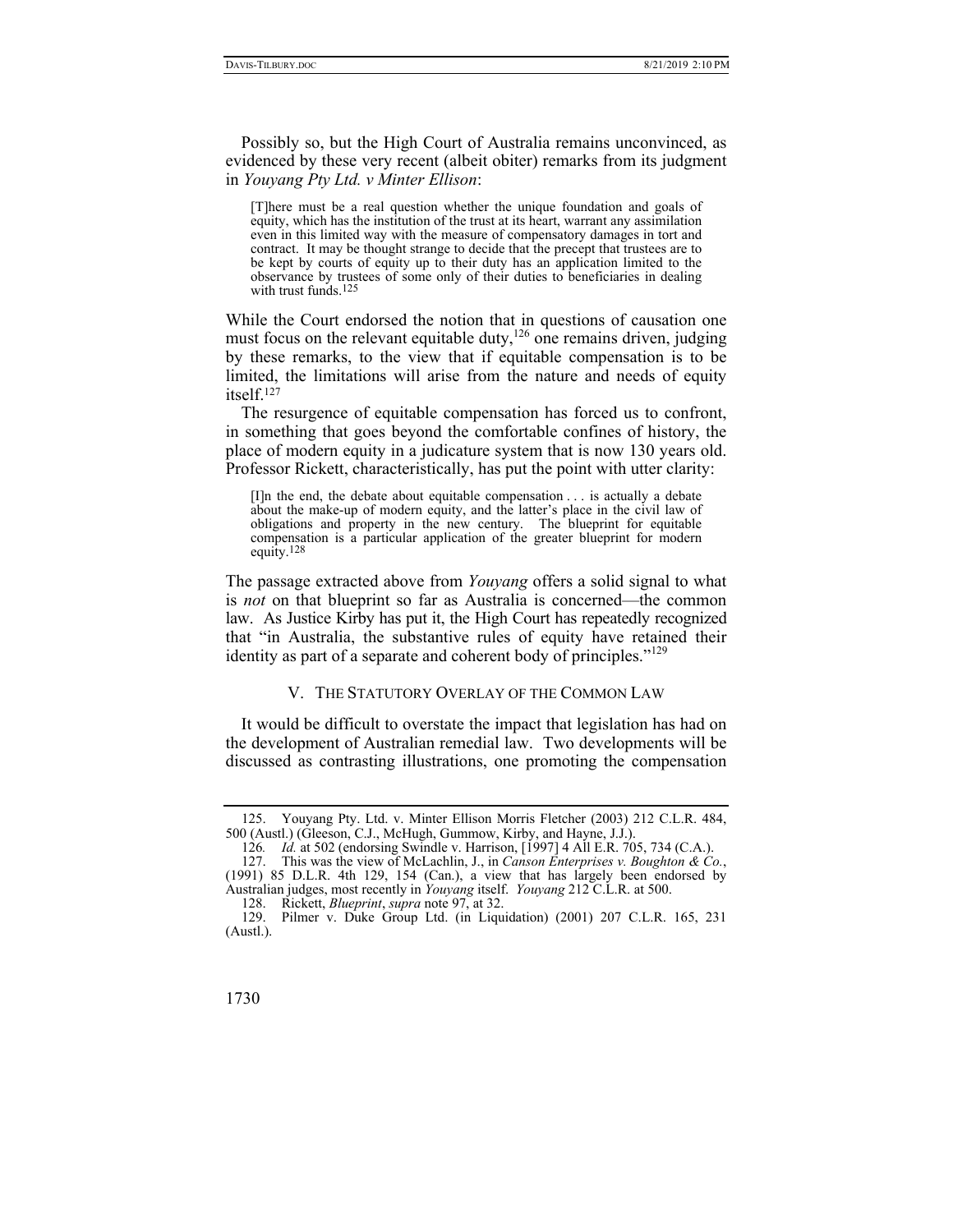Possibly so, but the High Court of Australia remains unconvinced, as evidenced by these very recent (albeit obiter) remarks from its judgment in *Youyang Pty Ltd. v Minter Ellison*:

[T]here must be a real question whether the unique foundation and goals of equity, which has the institution of the trust at its heart, warrant any assimilation even in this limited way with the measure of compensatory damages in tort and contract. It may be thought strange to decide that the precept that trustees are to be kept by courts of equity up to their duty has an application limited to the observance by trustees of some only of their duties to beneficiaries in dealing with trust funds.125

While the Court endorsed the notion that in questions of causation one must focus on the relevant equitable duty,  $126$  one remains driven, judging by these remarks, to the view that if equitable compensation is to be limited, the limitations will arise from the nature and needs of equity itself.127

The resurgence of equitable compensation has forced us to confront, in something that goes beyond the comfortable confines of history, the place of modern equity in a judicature system that is now 130 years old. Professor Rickett, characteristically, has put the point with utter clarity:

[I]n the end, the debate about equitable compensation . . . is actually a debate about the make-up of modern equity, and the latter's place in the civil law of obligations and property in the new century. The blueprint for equitable compensation is a particular application of the greater blueprint for modern equity.128

The passage extracted above from *Youyang* offers a solid signal to what is *not* on that blueprint so far as Australia is concerned—the common law. As Justice Kirby has put it, the High Court has repeatedly recognized that "in Australia, the substantive rules of equity have retained their identity as part of a separate and coherent body of principles."<sup>129</sup>

## V. THE STATUTORY OVERLAY OF THE COMMON LAW

It would be difficult to overstate the impact that legislation has had on the development of Australian remedial law. Two developments will be discussed as contrasting illustrations, one promoting the compensation

128. Rickett, *Blueprint*, *supra* note 97, at 32.

 <sup>125.</sup> Youyang Pty. Ltd. v. Minter Ellison Morris Fletcher (2003) 212 C.L.R. 484, 500 (Austl.) (Gleeson, C.J., McHugh, Gummow, Kirby, and Hayne, J.J.).

<sup>126</sup>*. Id.* at 502 (endorsing Swindle v. Harrison, [1997] 4 All E.R. 705, 734 (C.A.).

 <sup>127.</sup> This was the view of McLachlin, J., in *Canson Enterprises v. Boughton & Co.*, (1991) 85 D.L.R. 4th 129, 154 (Can.), a view that has largely been endorsed by Australian judges, most recently in *Youyang* itself. *Youyang* 212 C.L.R. at 500.

Pilmer v. Duke Group Ltd. (in Liquidation) (2001) 207 C.L.R. 165, 231 (Austl.).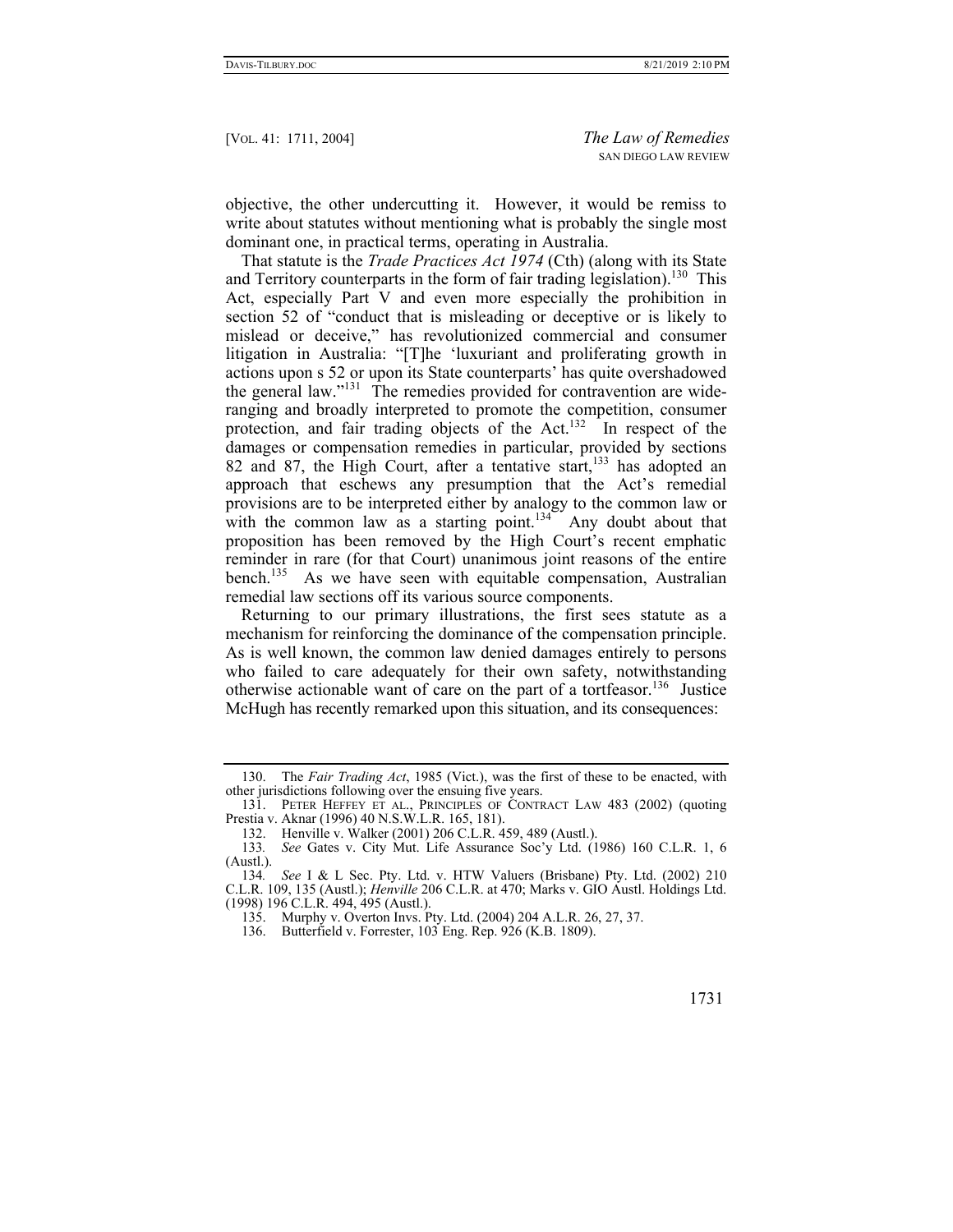objective, the other undercutting it. However, it would be remiss to write about statutes without mentioning what is probably the single most dominant one, in practical terms, operating in Australia.

That statute is the *Trade Practices Act 1974* (Cth) (along with its State and Territory counterparts in the form of fair trading legislation).<sup>130</sup> This Act, especially Part V and even more especially the prohibition in section 52 of "conduct that is misleading or deceptive or is likely to mislead or deceive," has revolutionized commercial and consumer litigation in Australia: "[T]he 'luxuriant and proliferating growth in actions upon s 52 or upon its State counterparts' has quite overshadowed the general law."<sup>131</sup> The remedies provided for contravention are wideranging and broadly interpreted to promote the competition, consumer protection, and fair trading objects of the Act.<sup>132</sup> In respect of the damages or compensation remedies in particular, provided by sections 82 and 87, the High Court, after a tentative start,  $133$  has adopted an approach that eschews any presumption that the Act's remedial provisions are to be interpreted either by analogy to the common law or with the common law as a starting point.<sup>134</sup> Any doubt about that proposition has been removed by the High Court's recent emphatic reminder in rare (for that Court) unanimous joint reasons of the entire bench.<sup>135</sup> As we have seen with equitable compensation, Australian remedial law sections off its various source components.

Returning to our primary illustrations, the first sees statute as a mechanism for reinforcing the dominance of the compensation principle. As is well known, the common law denied damages entirely to persons who failed to care adequately for their own safety, notwithstanding otherwise actionable want of care on the part of a tortfeasor.<sup>136</sup> Justice McHugh has recently remarked upon this situation, and its consequences:

 <sup>130.</sup> The *Fair Trading Act*, 1985 (Vict.), was the first of these to be enacted, with other jurisdictions following over the ensuing five years.

 <sup>131.</sup> PETER HEFFEY ET AL., PRINCIPLES OF CONTRACT LAW 483 (2002) (quoting Prestia v. Aknar (1996) 40 N.S.W.L.R. 165, 181).

<sup>132.</sup> Henville v. Walker (2001) 206 C.L.R. 459, 489 (Austl.).<br>133. See Gates v. City Mut. Life Assurance Soc'y Ltd. (1

<sup>133</sup>*. See* Gates v. City Mut. Life Assurance Soc'y Ltd. (1986) 160 C.L.R. 1, 6 (Austl.).

<sup>134</sup>*. See* I & L Sec. Pty. Ltd. v. HTW Valuers (Brisbane) Pty. Ltd. (2002) 210 C.L.R. 109, 135 (Austl.); *Henville* 206 C.L.R. at 470; Marks v. GIO Austl. Holdings Ltd. (1998) 196 C.L.R. 494, 495 (Austl.).

 <sup>135.</sup> Murphy v. Overton Invs. Pty. Ltd. (2004) 204 A.L.R. 26, 27, 37.

 <sup>136.</sup> Butterfield v. Forrester, 103 Eng. Rep. 926 (K.B. 1809).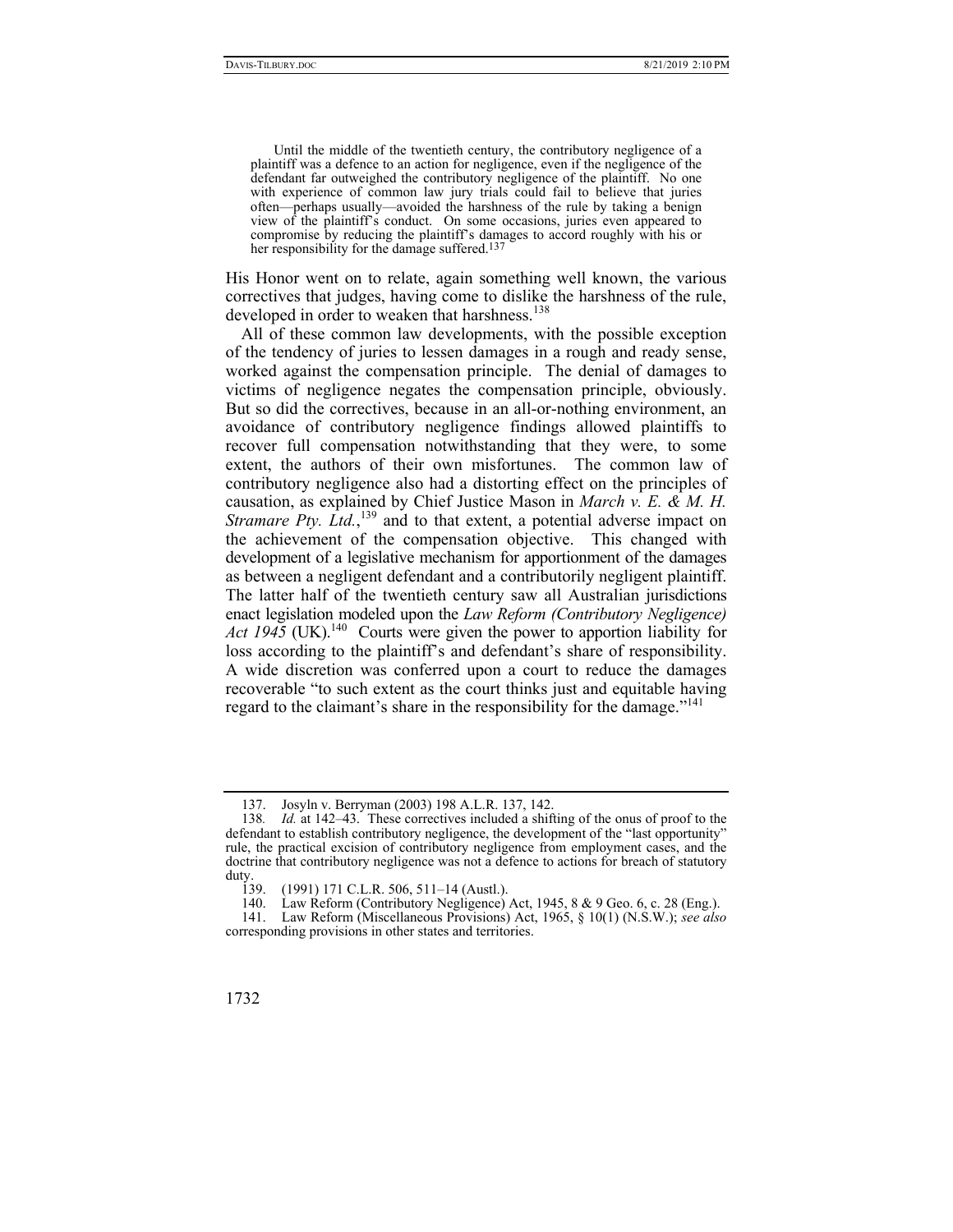Until the middle of the twentieth century, the contributory negligence of a plaintiff was a defence to an action for negligence, even if the negligence of the defendant far outweighed the contributory negligence of the plaintiff. No one with experience of common law jury trials could fail to believe that juries often—perhaps usually—avoided the harshness of the rule by taking a benign view of the plaintiff's conduct. On some occasions, juries even appeared to compromise by reducing the plaintiff's damages to accord roughly with his or her responsibility for the damage suffered.<sup>137</sup>

His Honor went on to relate, again something well known, the various correctives that judges, having come to dislike the harshness of the rule, developed in order to weaken that harshness.<sup>138</sup>

All of these common law developments, with the possible exception of the tendency of juries to lessen damages in a rough and ready sense, worked against the compensation principle. The denial of damages to victims of negligence negates the compensation principle, obviously. But so did the correctives, because in an all-or-nothing environment, an avoidance of contributory negligence findings allowed plaintiffs to recover full compensation notwithstanding that they were, to some extent, the authors of their own misfortunes. The common law of contributory negligence also had a distorting effect on the principles of causation, as explained by Chief Justice Mason in *March v. E. & M. H. Stramare Pty. Ltd.*,<sup>139</sup> and to that extent, a potential adverse impact on the achievement of the compensation objective. This changed with development of a legislative mechanism for apportionment of the damages as between a negligent defendant and a contributorily negligent plaintiff. The latter half of the twentieth century saw all Australian jurisdictions enact legislation modeled upon the *Law Reform (Contributory Negligence) Act 1945* (UK).<sup>140</sup> Courts were given the power to apportion liability for loss according to the plaintiff's and defendant's share of responsibility. A wide discretion was conferred upon a court to reduce the damages recoverable "to such extent as the court thinks just and equitable having regard to the claimant's share in the responsibility for the damage."<sup>141</sup>

 <sup>137.</sup> Josyln v. Berryman (2003) 198 A.L.R. 137, 142.

<sup>138</sup>*. Id.* at 142–43. These correctives included a shifting of the onus of proof to the defendant to establish contributory negligence, the development of the "last opportunity" rule, the practical excision of contributory negligence from employment cases, and the doctrine that contributory negligence was not a defence to actions for breach of statutory duty.<br> $139.$ 

 <sup>139. (1991) 171</sup> C.L.R. 506, 511–14 (Austl.).

 <sup>140.</sup> Law Reform (Contributory Negligence) Act, 1945, 8 & 9 Geo. 6, c. 28 (Eng.).

 <sup>141.</sup> Law Reform (Miscellaneous Provisions) Act, 1965, § 10(1) (N.S.W.); *see also* corresponding provisions in other states and territories.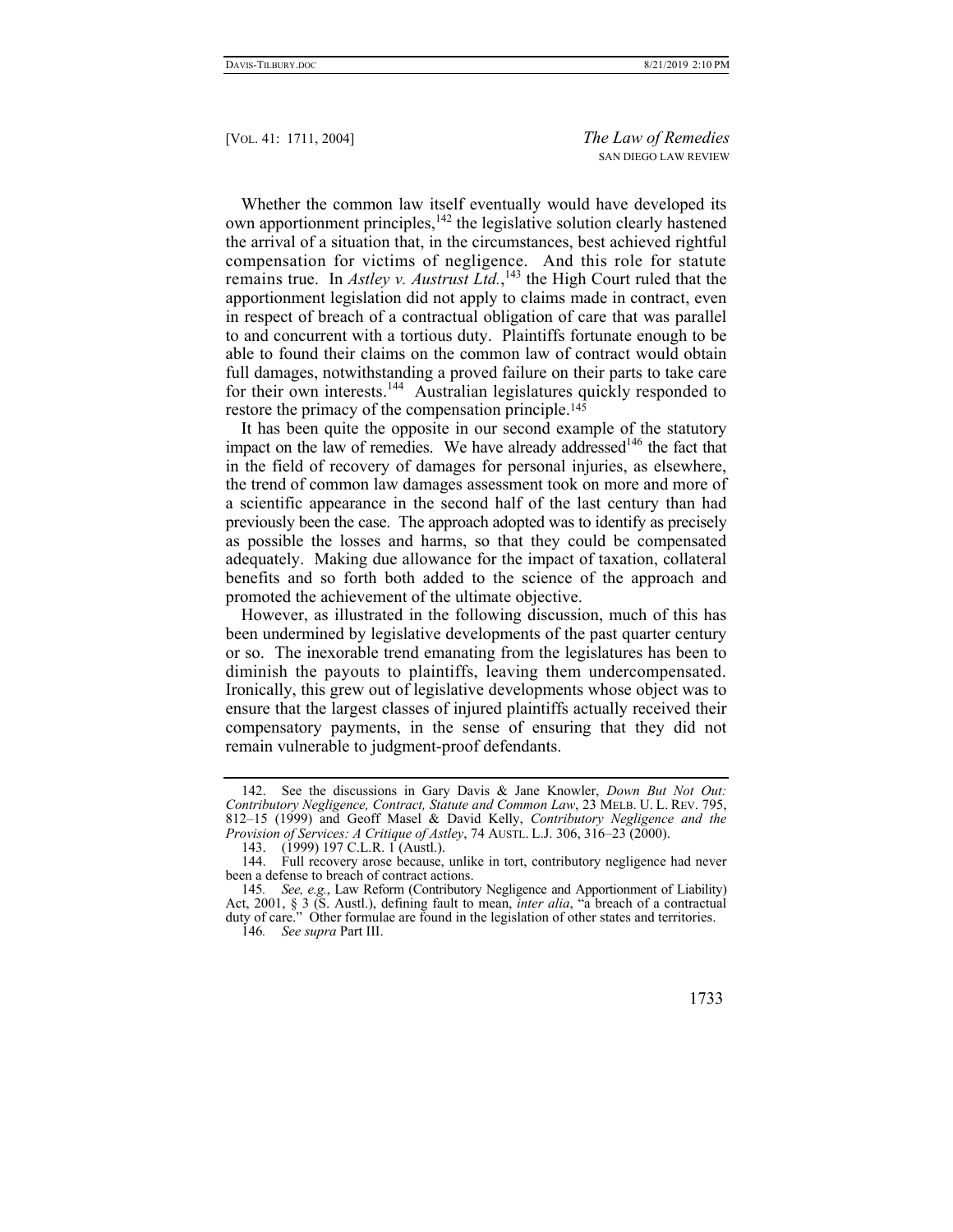Whether the common law itself eventually would have developed its own apportionment principles,<sup>142</sup> the legislative solution clearly hastened the arrival of a situation that, in the circumstances, best achieved rightful compensation for victims of negligence. And this role for statute remains true. In *Astley v. Austrust Ltd.*,<sup>143</sup> the High Court ruled that the apportionment legislation did not apply to claims made in contract, even in respect of breach of a contractual obligation of care that was parallel to and concurrent with a tortious duty. Plaintiffs fortunate enough to be able to found their claims on the common law of contract would obtain full damages, notwithstanding a proved failure on their parts to take care for their own interests.<sup>144</sup> Australian legislatures quickly responded to restore the primacy of the compensation principle.<sup>145</sup>

It has been quite the opposite in our second example of the statutory impact on the law of remedies. We have already addressed<sup>146</sup> the fact that in the field of recovery of damages for personal injuries, as elsewhere, the trend of common law damages assessment took on more and more of a scientific appearance in the second half of the last century than had previously been the case. The approach adopted was to identify as precisely as possible the losses and harms, so that they could be compensated adequately. Making due allowance for the impact of taxation, collateral benefits and so forth both added to the science of the approach and promoted the achievement of the ultimate objective.

However, as illustrated in the following discussion, much of this has been undermined by legislative developments of the past quarter century or so. The inexorable trend emanating from the legislatures has been to diminish the payouts to plaintiffs, leaving them undercompensated. Ironically, this grew out of legislative developments whose object was to ensure that the largest classes of injured plaintiffs actually received their compensatory payments, in the sense of ensuring that they did not remain vulnerable to judgment-proof defendants.

146*. See supra* Part III.

 <sup>142.</sup> See the discussions in Gary Davis & Jane Knowler, *Down But Not Out: Contributory Negligence, Contract, Statute and Common Law*, 23 MELB. U. L. REV. 795, 812–15 (1999) and Geoff Masel & David Kelly, *Contributory Negligence and the Provision of Services: A Critique of Astley*, 74 AUSTL. L.J. 306, 316–23 (2000).

<sup>143. (1999) 197</sup> C.L.R. 1 (Austl.).

 <sup>144.</sup> Full recovery arose because, unlike in tort, contributory negligence had never been a defense to breach of contract actions.

<sup>145</sup>*. See, e.g.*, Law Reform (Contributory Negligence and Apportionment of Liability) Act, 2001, § 3 (S. Austl.), defining fault to mean, *inter alia*, "a breach of a contractual duty of care." Other formulae are found in the legislation of other states and territories.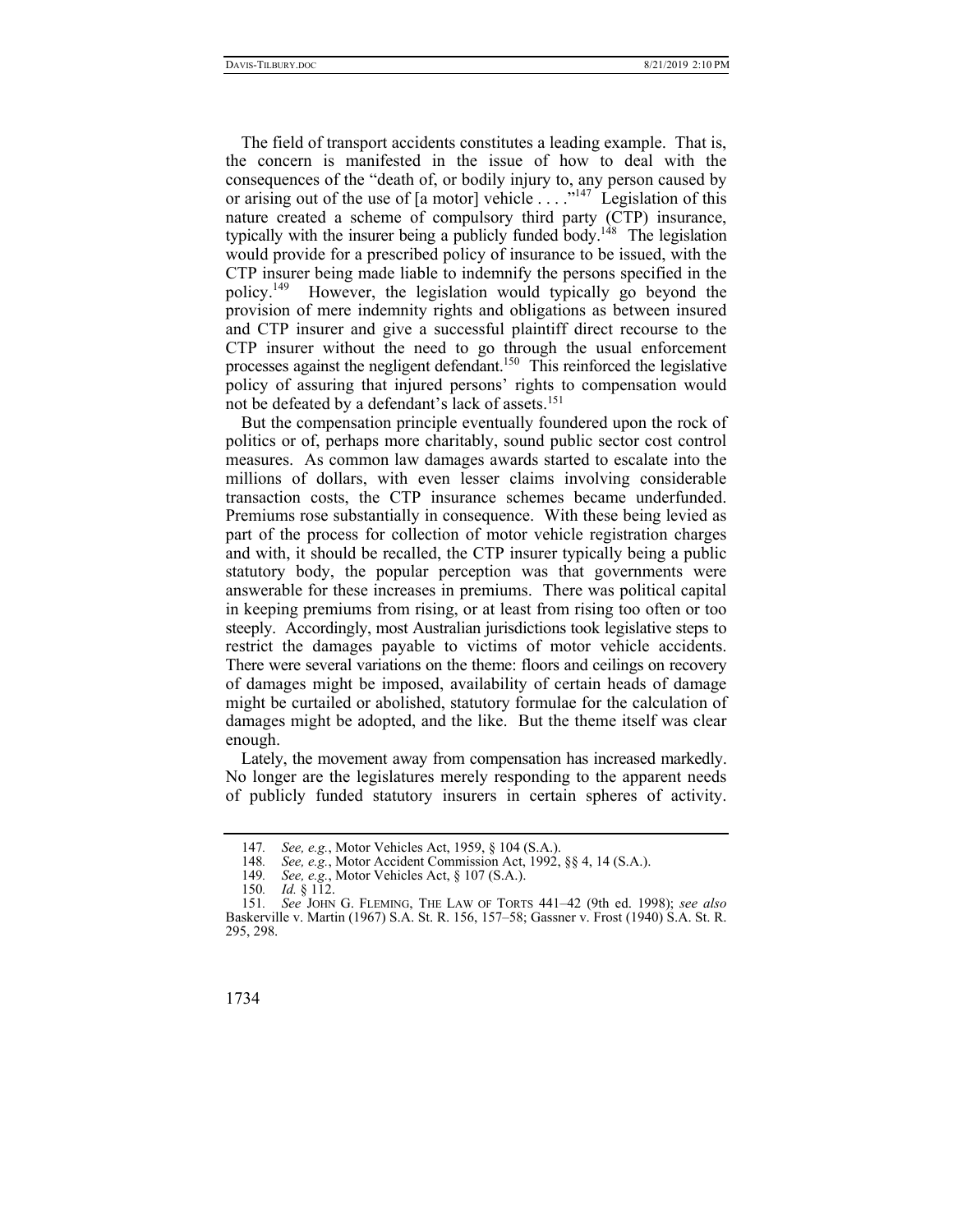The field of transport accidents constitutes a leading example. That is, the concern is manifested in the issue of how to deal with the consequences of the "death of, or bodily injury to, any person caused by or arising out of the use of [a motor] vehicle . . . ."147 Legislation of this nature created a scheme of compulsory third party (CTP) insurance, typically with the insurer being a publicly funded body.<sup>148</sup> The legislation would provide for a prescribed policy of insurance to be issued, with the CTP insurer being made liable to indemnify the persons specified in the policy.<sup>149</sup> However, the legislation would typically go beyond the provision of mere indemnity rights and obligations as between insured and CTP insurer and give a successful plaintiff direct recourse to the CTP insurer without the need to go through the usual enforcement processes against the negligent defendant.<sup>150</sup> This reinforced the legislative policy of assuring that injured persons' rights to compensation would not be defeated by a defendant's lack of assets.<sup>151</sup>

But the compensation principle eventually foundered upon the rock of politics or of, perhaps more charitably, sound public sector cost control measures. As common law damages awards started to escalate into the millions of dollars, with even lesser claims involving considerable transaction costs, the CTP insurance schemes became underfunded. Premiums rose substantially in consequence. With these being levied as part of the process for collection of motor vehicle registration charges and with, it should be recalled, the CTP insurer typically being a public statutory body, the popular perception was that governments were answerable for these increases in premiums. There was political capital in keeping premiums from rising, or at least from rising too often or too steeply. Accordingly, most Australian jurisdictions took legislative steps to restrict the damages payable to victims of motor vehicle accidents. There were several variations on the theme: floors and ceilings on recovery of damages might be imposed, availability of certain heads of damage might be curtailed or abolished, statutory formulae for the calculation of damages might be adopted, and the like. But the theme itself was clear enough.

Lately, the movement away from compensation has increased markedly. No longer are the legislatures merely responding to the apparent needs of publicly funded statutory insurers in certain spheres of activity.

<sup>147</sup>*. See, e.g.*, Motor Vehicles Act, 1959, § 104 (S.A.).

<sup>148</sup>*. See, e.g.*, Motor Accident Commission Act, 1992, §§ 4, 14 (S.A.).

See, e.g., Motor Vehicles Act, § 107 (S.A.).

<sup>150</sup>*. Id.* § 112.

<sup>151</sup>*. See* JOHN G. FLEMING, THE LAW OF TORTS 441–42 (9th ed. 1998); *see also* Baskerville v. Martin (1967) S.A. St. R. 156, 157–58; Gassner v. Frost (1940) S.A. St. R. 295, 298.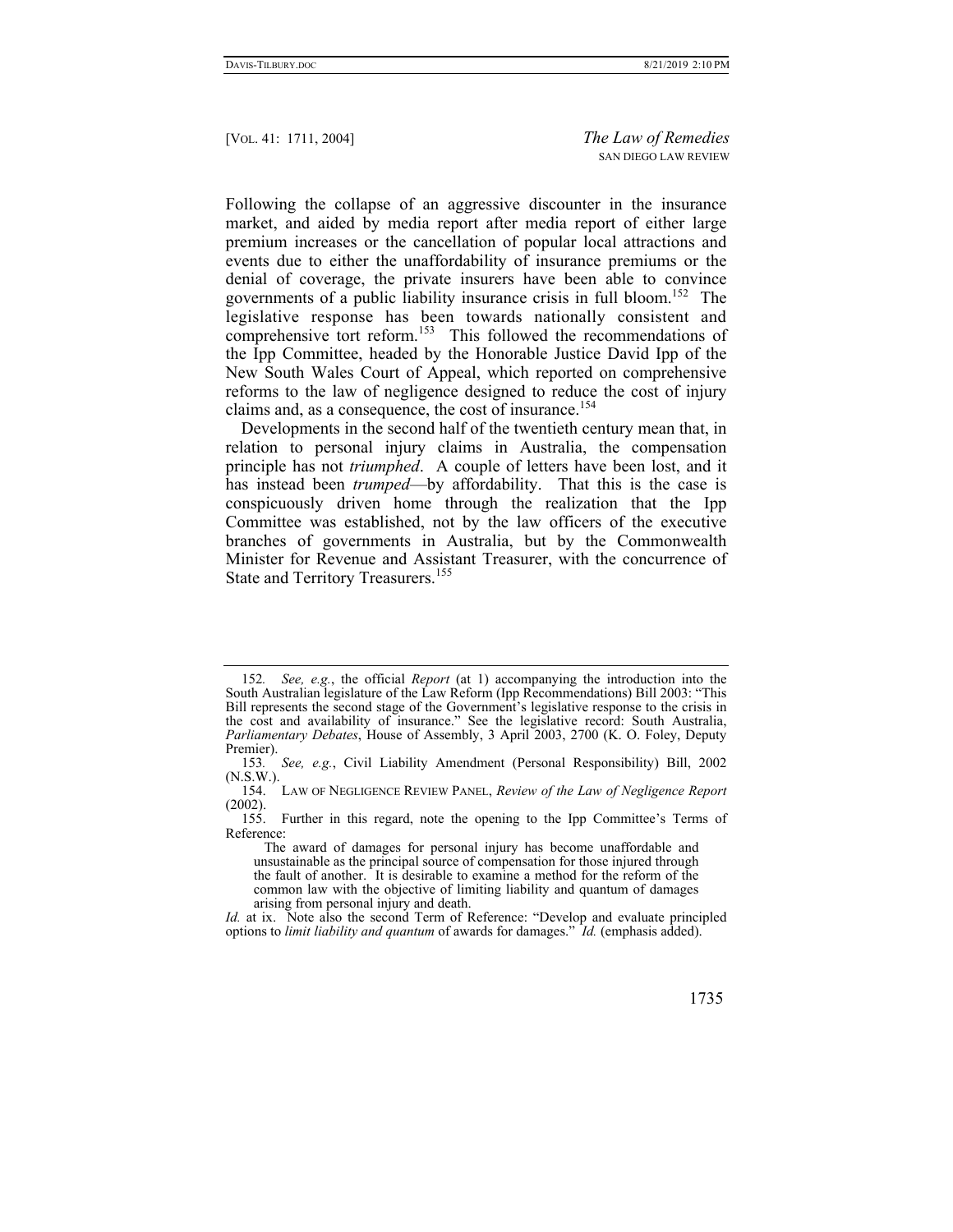Following the collapse of an aggressive discounter in the insurance market, and aided by media report after media report of either large premium increases or the cancellation of popular local attractions and events due to either the unaffordability of insurance premiums or the denial of coverage, the private insurers have been able to convince governments of a public liability insurance crisis in full bloom.<sup>152</sup> The legislative response has been towards nationally consistent and comprehensive tort reform.<sup>153</sup> This followed the recommendations of the Ipp Committee, headed by the Honorable Justice David Ipp of the New South Wales Court of Appeal, which reported on comprehensive reforms to the law of negligence designed to reduce the cost of injury claims and, as a consequence, the cost of insurance.<sup>154</sup>

Developments in the second half of the twentieth century mean that, in relation to personal injury claims in Australia, the compensation principle has not *triumphed*. A couple of letters have been lost, and it has instead been *trumped*—by affordability. That this is the case is conspicuously driven home through the realization that the Ipp Committee was established, not by the law officers of the executive branches of governments in Australia, but by the Commonwealth Minister for Revenue and Assistant Treasurer, with the concurrence of State and Territory Treasurers.<sup>155</sup>

*Id.* at ix. Note also the second Term of Reference: "Develop and evaluate principled options to *limit liability and quantum* of awards for damages." *Id.* (emphasis added).



<sup>152</sup>*. See, e.g.*, the official *Report* (at 1) accompanying the introduction into the South Australian legislature of the Law Reform (Ipp Recommendations) Bill 2003: "This Bill represents the second stage of the Government's legislative response to the crisis in the cost and availability of insurance." See the legislative record: South Australia, *Parliamentary Debates*, House of Assembly, 3 April 2003, 2700 (K. O. Foley, Deputy Premier).

<sup>153</sup>*. See, e.g.*, Civil Liability Amendment (Personal Responsibility) Bill, 2002 (N.S.W.).

 <sup>154.</sup> LAW OF NEGLIGENCE REVIEW PANEL, *Review of the Law of Negligence Report* (2002).

 <sup>155.</sup> Further in this regard, note the opening to the Ipp Committee's Terms of Reference:

The award of damages for personal injury has become unaffordable and unsustainable as the principal source of compensation for those injured through the fault of another. It is desirable to examine a method for the reform of the common law with the objective of limiting liability and quantum of damages arising from personal injury and death.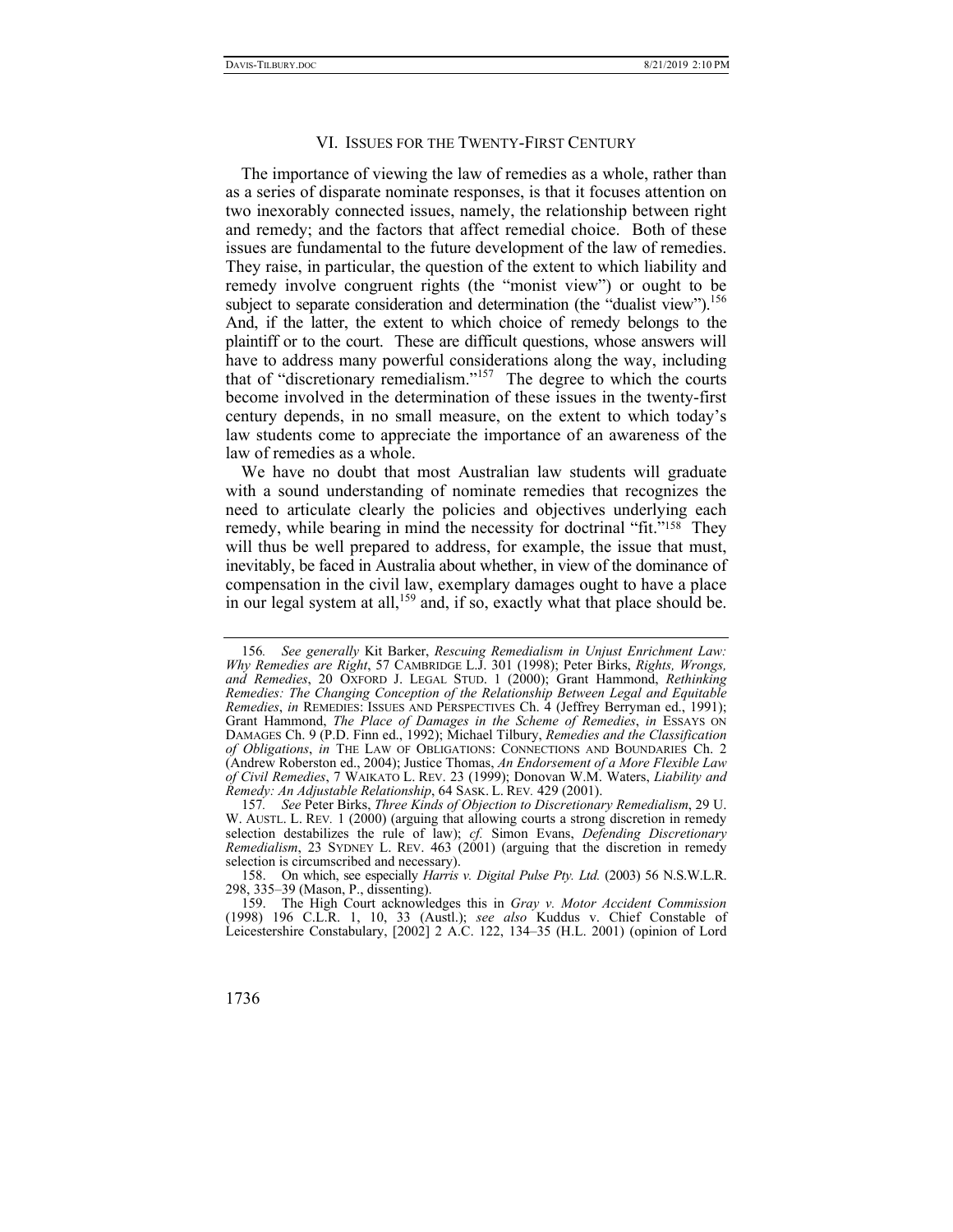### VI. ISSUES FOR THE TWENTY-FIRST CENTURY

The importance of viewing the law of remedies as a whole, rather than as a series of disparate nominate responses, is that it focuses attention on two inexorably connected issues, namely, the relationship between right and remedy; and the factors that affect remedial choice. Both of these issues are fundamental to the future development of the law of remedies. They raise, in particular, the question of the extent to which liability and remedy involve congruent rights (the "monist view") or ought to be subject to separate consideration and determination (the "dualist view").<sup>156</sup> And, if the latter, the extent to which choice of remedy belongs to the plaintiff or to the court. These are difficult questions, whose answers will have to address many powerful considerations along the way, including that of "discretionary remedialism."<sup>157</sup> The degree to which the courts become involved in the determination of these issues in the twenty-first century depends, in no small measure, on the extent to which today's law students come to appreciate the importance of an awareness of the law of remedies as a whole.

We have no doubt that most Australian law students will graduate with a sound understanding of nominate remedies that recognizes the need to articulate clearly the policies and objectives underlying each remedy, while bearing in mind the necessity for doctrinal "fit."<sup>158</sup> They will thus be well prepared to address, for example, the issue that must, inevitably, be faced in Australia about whether, in view of the dominance of compensation in the civil law, exemplary damages ought to have a place in our legal system at all,<sup>159</sup> and, if so, exactly what that place should be.

<sup>156</sup>*. See generally* Kit Barker, *Rescuing Remedialism in Unjust Enrichment Law: Why Remedies are Right*, 57 CAMBRIDGE L.J. 301 (1998); Peter Birks, *Rights, Wrongs, and Remedies*, 20 OXFORD J. LEGAL STUD. 1 (2000); Grant Hammond, *Rethinking Remedies: The Changing Conception of the Relationship Between Legal and Equitable Remedies*, *in* REMEDIES: ISSUES AND PERSPECTIVES Ch. 4 (Jeffrey Berryman ed., 1991); Grant Hammond, *The Place of Damages in the Scheme of Remedies*, *in* ESSAYS ON DAMAGES Ch. 9 (P.D. Finn ed., 1992); Michael Tilbury, *Remedies and the Classification of Obligations*, *in* THE LAW OF OBLIGATIONS: CONNECTIONS AND BOUNDARIES Ch. 2 (Andrew Roberston ed., 2004); Justice Thomas, *An Endorsement of a More Flexible Law of Civil Remedies*, 7 WAIKATO L. REV. 23 (1999); Donovan W.M. Waters, *Liability and Remedy: An Adjustable Relationship*, 64 SASK. L. REV*.* 429 (2001).

<sup>157</sup>*. See* Peter Birks, *Three Kinds of Objection to Discretionary Remedialism*, 29 U. W. AUSTL. L. REV*.* 1 (2000) (arguing that allowing courts a strong discretion in remedy selection destabilizes the rule of law); *cf.* Simon Evans, *Defending Discretionary Remedialism*, 23 SYDNEY L. REV. 463 (2001) (arguing that the discretion in remedy selection is circumscribed and necessary).

 <sup>158.</sup> On which, see especially *Harris v. Digital Pulse Pty. Ltd.* (2003) 56 N.S.W.L.R. 298, 335–39 (Mason, P., dissenting).

 <sup>159.</sup> The High Court acknowledges this in *Gray v. Motor Accident Commission* (1998) 196 C.L.R. 1, 10, 33 (Austl.); *see also* Kuddus v. Chief Constable of Leicestershire Constabulary, [2002] 2 A.C. 122, 134–35 (H.L. 2001) (opinion of Lord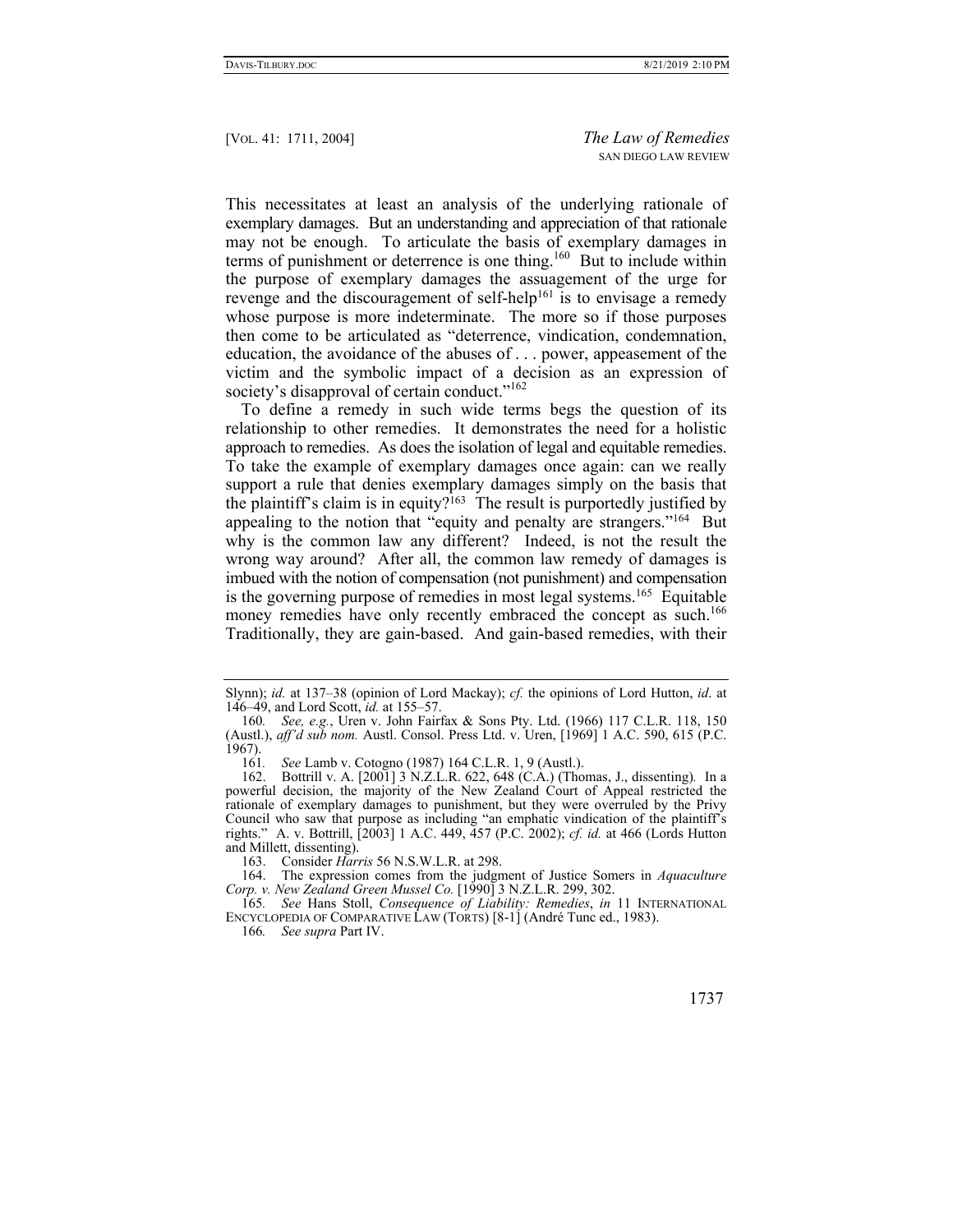This necessitates at least an analysis of the underlying rationale of exemplary damages. But an understanding and appreciation of that rationale may not be enough. To articulate the basis of exemplary damages in terms of punishment or deterrence is one thing.<sup>160</sup> But to include within the purpose of exemplary damages the assuagement of the urge for revenge and the discouragement of self-help<sup>161</sup> is to envisage a remedy whose purpose is more indeterminate. The more so if those purposes then come to be articulated as "deterrence, vindication, condemnation, education, the avoidance of the abuses of . . . power, appeasement of the victim and the symbolic impact of a decision as an expression of society's disapproval of certain conduct."<sup>162</sup>

To define a remedy in such wide terms begs the question of its relationship to other remedies. It demonstrates the need for a holistic approach to remedies. As does the isolation of legal and equitable remedies. To take the example of exemplary damages once again: can we really support a rule that denies exemplary damages simply on the basis that the plaintiff's claim is in equity?163 The result is purportedly justified by appealing to the notion that "equity and penalty are strangers."<sup>164</sup> But why is the common law any different? Indeed, is not the result the wrong way around? After all, the common law remedy of damages is imbued with the notion of compensation (not punishment) and compensation is the governing purpose of remedies in most legal systems.165 Equitable money remedies have only recently embraced the concept as such.<sup>166</sup> Traditionally, they are gain-based. And gain-based remedies, with their

Slynn); *id.* at 137–38 (opinion of Lord Mackay); *cf.* the opinions of Lord Hutton, *id*. at 146–49, and Lord Scott, *id.* at 155–57.

<sup>160</sup>*. See, e.g.*, Uren v. John Fairfax & Sons Pty. Ltd. (1966) 117 C.L.R. 118, 150 (Austl.), *aff'd sub nom.* Austl. Consol. Press Ltd. v. Uren, [1969] 1 A.C. 590, 615 (P.C.  $\frac{1967}{161}$ .

<sup>161</sup>*. See* Lamb v. Cotogno (1987) 164 C.L.R. 1, 9 (Austl.).

 <sup>162.</sup> Bottrill v. A. [2001] 3 N.Z.L.R. 622, 648 (C.A.) (Thomas, J., dissenting)*.* In a powerful decision, the majority of the New Zealand Court of Appeal restricted the rationale of exemplary damages to punishment, but they were overruled by the Privy Council who saw that purpose as including "an emphatic vindication of the plaintiff's rights." A. v. Bottrill, [2003] 1 A.C. 449, 457 (P.C. 2002); *cf. id.* at 466 (Lords Hutton and Millett, dissenting).

 <sup>163.</sup> Consider *Harris* 56 N.S.W.L.R. at 298.

 <sup>164.</sup> The expression comes from the judgment of Justice Somers in *Aquaculture Corp. v. New Zealand Green Mussel Co.* [1990] 3 N.Z.L.R. 299, 302.

<sup>165</sup>*. See* Hans Stoll, *Consequence of Liability: Remedies*, *in* 11 INTERNATIONAL ENCYCLOPEDIA OF COMPARATIVE LAW (TORTS) [8-1] (André Tunc ed., 1983).

<sup>166</sup>*. See supra* Part IV.